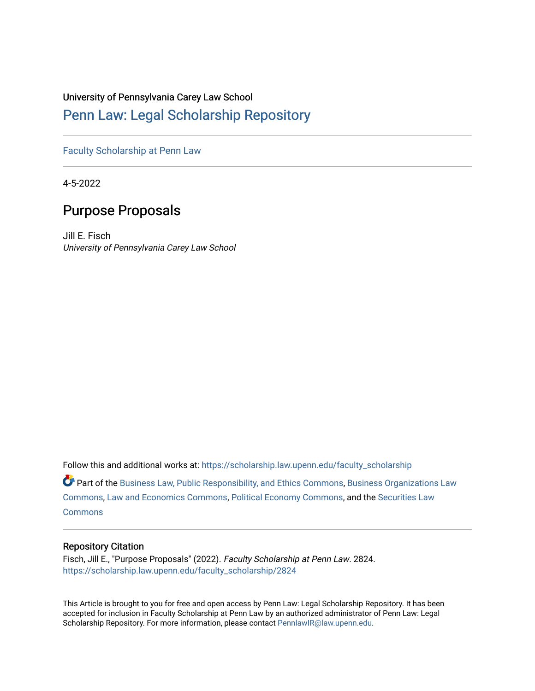# University of Pennsylvania Carey Law School

# [Penn Law: Legal Scholarship Repository](https://scholarship.law.upenn.edu/)

[Faculty Scholarship at Penn Law](https://scholarship.law.upenn.edu/faculty_scholarship)

4-5-2022

# Purpose Proposals

Jill E. Fisch University of Pennsylvania Carey Law School

Follow this and additional works at: [https://scholarship.law.upenn.edu/faculty\\_scholarship](https://scholarship.law.upenn.edu/faculty_scholarship?utm_source=scholarship.law.upenn.edu%2Ffaculty_scholarship%2F2824&utm_medium=PDF&utm_campaign=PDFCoverPages) 

Part of the [Business Law, Public Responsibility, and Ethics Commons](http://network.bepress.com/hgg/discipline/628?utm_source=scholarship.law.upenn.edu%2Ffaculty_scholarship%2F2824&utm_medium=PDF&utm_campaign=PDFCoverPages), Business Organizations Law [Commons](http://network.bepress.com/hgg/discipline/900?utm_source=scholarship.law.upenn.edu%2Ffaculty_scholarship%2F2824&utm_medium=PDF&utm_campaign=PDFCoverPages), [Law and Economics Commons](http://network.bepress.com/hgg/discipline/612?utm_source=scholarship.law.upenn.edu%2Ffaculty_scholarship%2F2824&utm_medium=PDF&utm_campaign=PDFCoverPages), [Political Economy Commons,](http://network.bepress.com/hgg/discipline/352?utm_source=scholarship.law.upenn.edu%2Ffaculty_scholarship%2F2824&utm_medium=PDF&utm_campaign=PDFCoverPages) and the [Securities Law](http://network.bepress.com/hgg/discipline/619?utm_source=scholarship.law.upenn.edu%2Ffaculty_scholarship%2F2824&utm_medium=PDF&utm_campaign=PDFCoverPages)  **[Commons](http://network.bepress.com/hgg/discipline/619?utm_source=scholarship.law.upenn.edu%2Ffaculty_scholarship%2F2824&utm_medium=PDF&utm_campaign=PDFCoverPages)** 

# Repository Citation

Fisch, Jill E., "Purpose Proposals" (2022). Faculty Scholarship at Penn Law. 2824. [https://scholarship.law.upenn.edu/faculty\\_scholarship/2824](https://scholarship.law.upenn.edu/faculty_scholarship/2824?utm_source=scholarship.law.upenn.edu%2Ffaculty_scholarship%2F2824&utm_medium=PDF&utm_campaign=PDFCoverPages)

This Article is brought to you for free and open access by Penn Law: Legal Scholarship Repository. It has been accepted for inclusion in Faculty Scholarship at Penn Law by an authorized administrator of Penn Law: Legal Scholarship Repository. For more information, please contact [PennlawIR@law.upenn.edu.](mailto:PennlawIR@law.upenn.edu)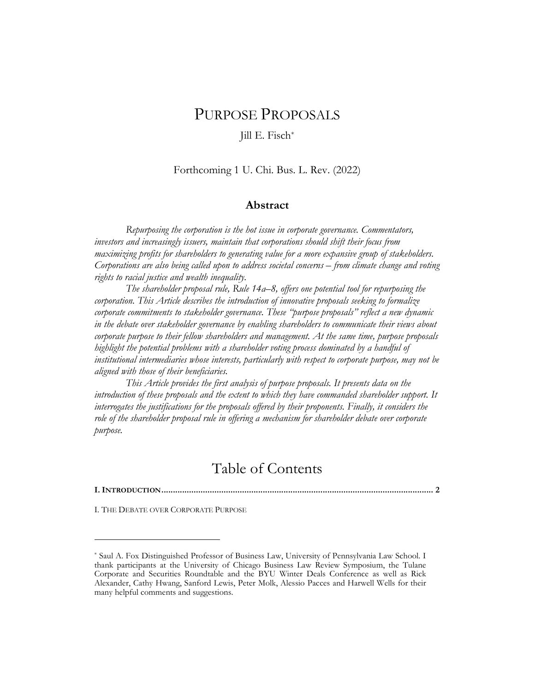# PURPOSE PROPOSALS

# Jill E. Fisch\*

## Forthcoming 1 U. Chi. Bus. L. Rev. (2022)

## Abstract

Repurposing the corporation is the hot issue in corporate governance. Commentators, investors and increasingly issuers, maintain that corporations should shift their focus from maximizing profits for shareholders to generating value for a more expansive group of stakeholders. Corporations are also being called upon to address societal concerns – from climate change and voting rights to racial justice and wealth inequality.

The shareholder proposal rule, Rule 14a–8, offers one potential tool for repurposing the corporation. This Article describes the introduction of innovative proposals seeking to formalize corporate commitments to stakeholder governance. These "purpose proposals" reflect a new dynamic in the debate over stakeholder governance by enabling shareholders to communicate their views about corporate purpose to their fellow shareholders and management. At the same time, purpose proposals highlight the potential problems with a shareholder voting process dominated by a handful of institutional intermediaries whose interests, particularly with respect to corporate purpose, may not be aligned with those of their beneficiaries.

This Article provides the first analysis of purpose proposals. It presents data on the introduction of these proposals and the extent to which they have commanded shareholder support. It interrogates the justifications for the proposals offered by their proponents. Finally, it considers the role of the shareholder proposal rule in offering a mechanism for shareholder debate over corporate purpose.

# Table of Contents

I. INTRODUCTION ...................................................................................................................... 2

I. THE DEBATE OVER CORPORATE PURPOSE

<sup>\*</sup> Saul A. Fox Distinguished Professor of Business Law, University of Pennsylvania Law School. I thank participants at the University of Chicago Business Law Review Symposium, the Tulane Corporate and Securities Roundtable and the BYU Winter Deals Conference as well as Rick Alexander, Cathy Hwang, Sanford Lewis, Peter Molk, Alessio Pacces and Harwell Wells for their many helpful comments and suggestions.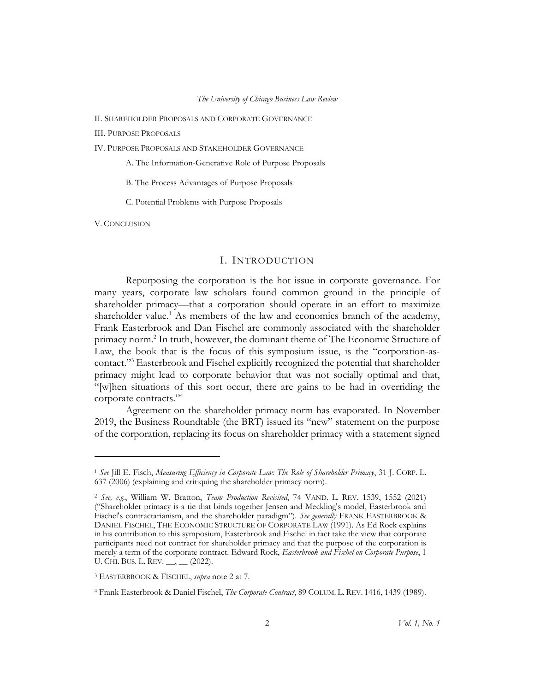II. SHAREHOLDER PROPOSALS AND CORPORATE GOVERNANCE

III. PURPOSE PROPOSALS

IV. PURPOSE PROPOSALS AND STAKEHOLDER GOVERNANCE

A. The Information-Generative Role of Purpose Proposals

B. The Process Advantages of Purpose Proposals

C. Potential Problems with Purpose Proposals

V. CONCLUSION

### I. INTRODUCTION

Repurposing the corporation is the hot issue in corporate governance. For many years, corporate law scholars found common ground in the principle of shareholder primacy—that a corporation should operate in an effort to maximize shareholder value.<sup>1</sup> As members of the law and economics branch of the academy, Frank Easterbrook and Dan Fischel are commonly associated with the shareholder primacy norm.<sup>2</sup> In truth, however, the dominant theme of The Economic Structure of Law, the book that is the focus of this symposium issue, is the "corporation-ascontact."<sup>3</sup> Easterbrook and Fischel explicitly recognized the potential that shareholder primacy might lead to corporate behavior that was not socially optimal and that, "[w]hen situations of this sort occur, there are gains to be had in overriding the corporate contracts."<sup>4</sup>

Agreement on the shareholder primacy norm has evaporated. In November 2019, the Business Roundtable (the BRT) issued its "new" statement on the purpose of the corporation, replacing its focus on shareholder primacy with a statement signed

<sup>&</sup>lt;sup>1</sup> See Jill E. Fisch, Measuring Efficiency in Corporate Law: The Role of Shareholder Primacy, 31 J. CORP. L. 637 (2006) (explaining and critiquing the shareholder primacy norm).

<sup>&</sup>lt;sup>2</sup> See, e.g., William W. Bratton, Team Production Revisited, 74 VAND. L. REV. 1539, 1552 (2021) ("Shareholder primacy is a tie that binds together Jensen and Meckling's model, Easterbrook and Fischel's contractarianism, and the shareholder paradigm"). See generally FRANK EASTERBROOK & DANIEL FISCHEL, THE ECONOMIC STRUCTURE OF CORPORATE LAW (1991). As Ed Rock explains in his contribution to this symposium, Easterbrook and Fischel in fact take the view that corporate participants need not contract for shareholder primacy and that the purpose of the corporation is merely a term of the corporate contract. Edward Rock, Easterbrook and Fischel on Corporate Purpose, 1 U. CHI. BUS. L. REV. \_\_, \_\_ (2022).

<sup>&</sup>lt;sup>3</sup> EASTERBROOK & FISCHEL, *supra* note 2 at 7.

<sup>4</sup> Frank Easterbrook & Daniel Fischel, The Corporate Contract, 89 COLUM. L. REV. 1416, 1439 (1989).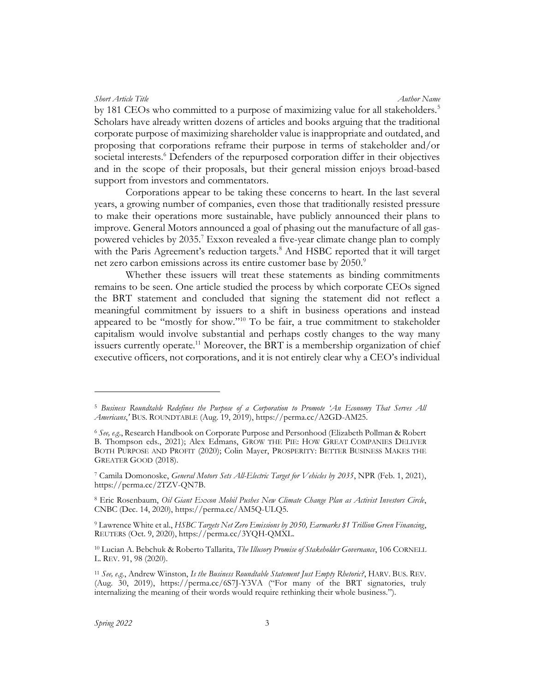by 181 CEOs who committed to a purpose of maximizing value for all stakeholders.<sup>5</sup> Scholars have already written dozens of articles and books arguing that the traditional corporate purpose of maximizing shareholder value is inappropriate and outdated, and proposing that corporations reframe their purpose in terms of stakeholder and/or societal interests.<sup>6</sup> Defenders of the repurposed corporation differ in their objectives and in the scope of their proposals, but their general mission enjoys broad-based support from investors and commentators.

Corporations appear to be taking these concerns to heart. In the last several years, a growing number of companies, even those that traditionally resisted pressure to make their operations more sustainable, have publicly announced their plans to improve. General Motors announced a goal of phasing out the manufacture of all gaspowered vehicles by 2035.<sup>7</sup> Exxon revealed a five-year climate change plan to comply with the Paris Agreement's reduction targets.<sup>8</sup> And HSBC reported that it will target net zero carbon emissions across its entire customer base by 2050.<sup>9</sup>

Whether these issuers will treat these statements as binding commitments remains to be seen. One article studied the process by which corporate CEOs signed the BRT statement and concluded that signing the statement did not reflect a meaningful commitment by issuers to a shift in business operations and instead appeared to be "mostly for show."<sup>10</sup> To be fair, a true commitment to stakeholder capitalism would involve substantial and perhaps costly changes to the way many issuers currently operate.<sup>11</sup> Moreover, the BRT is a membership organization of chief executive officers, not corporations, and it is not entirely clear why a CEO's individual

<sup>5</sup> Business Roundtable Redefines the Purpose of a Corporation to Promote 'An Economy That Serves All Americans,' BUS. ROUNDTABLE (Aug. 19, 2019), https://perma.cc/A2GD-AM25.

 $6$  See, e.g., Research Handbook on Corporate Purpose and Personhood (Elizabeth Pollman & Robert B. Thompson eds., 2021); Alex Edmans, GROW THE PIE: HOW GREAT COMPANIES DELIVER BOTH PURPOSE AND PROFIT (2020); Colin Mayer, PROSPERITY: BETTER BUSINESS MAKES THE GREATER GOOD (2018).

<sup>&</sup>lt;sup>7</sup> Camila Domonoske, *General Motors Sets All-Electric Target for Vehicles by 2035*, NPR (Feb. 1, 2021), https://perma.cc/2TZV-QN7B.

<sup>&</sup>lt;sup>8</sup> Eric Rosenbaum, Oil Giant Exxon Mobil Pushes New Climate Change Plan as Activist Investors Circle, CNBC (Dec. 14, 2020), https://perma.cc/AM5Q-ULQ5.

<sup>&</sup>lt;sup>9</sup> Lawrence White et al., HSBC Targets Net Zero Emissions by 2050, Earmarks \$1 Trillion Green Financing, REUTERS (Oct. 9, 2020), https://perma.cc/3YQH-QMXL.

<sup>&</sup>lt;sup>10</sup> Lucian A. Bebchuk & Roberto Tallarita, The Illusory Promise of Stakeholder Governance, 106 CORNELL L. REV. 91, 98 (2020).

<sup>&</sup>lt;sup>11</sup> See, e.g., Andrew Winston, *Is the Business Roundtable Statement Just Empty Rhetoric?*, HARV. BUS. REV. (Aug. 30, 2019), https://perma.cc/6S7J-Y3VA ("For many of the BRT signatories, truly internalizing the meaning of their words would require rethinking their whole business.").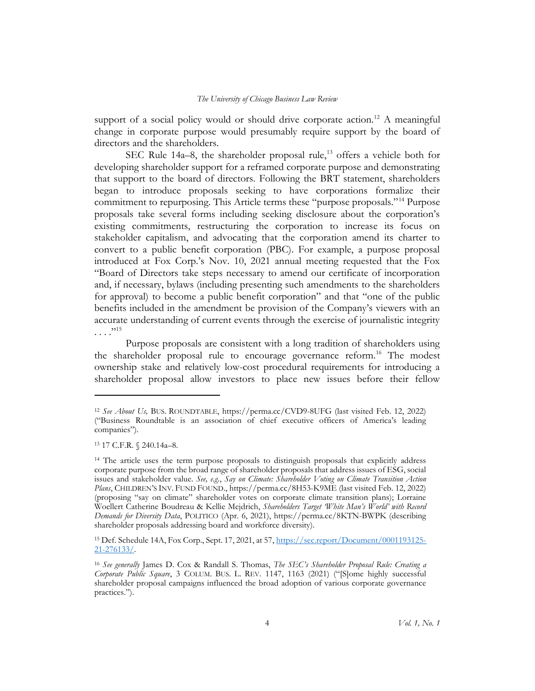support of a social policy would or should drive corporate action.<sup>12</sup> A meaningful change in corporate purpose would presumably require support by the board of directors and the shareholders.

SEC Rule  $14a-8$ , the shareholder proposal rule,<sup>13</sup> offers a vehicle both for developing shareholder support for a reframed corporate purpose and demonstrating that support to the board of directors. Following the BRT statement, shareholders began to introduce proposals seeking to have corporations formalize their commitment to repurposing. This Article terms these "purpose proposals."<sup>14</sup> Purpose proposals take several forms including seeking disclosure about the corporation's existing commitments, restructuring the corporation to increase its focus on stakeholder capitalism, and advocating that the corporation amend its charter to convert to a public benefit corporation (PBC). For example, a purpose proposal introduced at Fox Corp.'s Nov. 10, 2021 annual meeting requested that the Fox "Board of Directors take steps necessary to amend our certificate of incorporation and, if necessary, bylaws (including presenting such amendments to the shareholders for approval) to become a public benefit corporation" and that "one of the public benefits included in the amendment be provision of the Company's viewers with an accurate understanding of current events through the exercise of journalistic integrity  $\cdots$ <sup>15</sup>

Purpose proposals are consistent with a long tradition of shareholders using the shareholder proposal rule to encourage governance reform.<sup>16</sup> The modest ownership stake and relatively low-cost procedural requirements for introducing a shareholder proposal allow investors to place new issues before their fellow

<sup>12</sup> See About Us, BUS. ROUNDTABLE, https://perma.cc/CVD9-8UFG (last visited Feb. 12, 2022) ("Business Roundtable is an association of chief executive officers of America's leading companies").

<sup>13</sup> 17 C.F.R. § 240.14a–8.

<sup>14</sup> The article uses the term purpose proposals to distinguish proposals that explicitly address corporate purpose from the broad range of shareholder proposals that address issues of ESG, social issues and stakeholder value. See, e.g., Say on Climate: Shareholder Voting on Climate Transition Action Plans, CHILDREN'S INV. FUND FOUND., https://perma.cc/8H53-K9ME (last visited Feb. 12, 2022) (proposing "say on climate" shareholder votes on corporate climate transition plans); Lorraine Woellert Catherine Boudreau & Kellie Mejdrich, Shareholders Target 'White Man's World' with Record Demands for Diversity Data, POLITICO (Apr. 6, 2021), https://perma.cc/8KTN-BWPK (describing shareholder proposals addressing board and workforce diversity).

<sup>15</sup> Def. Schedule 14A, Fox Corp., Sept. 17, 2021, at 57, https://sec.report/Document/0001193125- 21-276133/.

<sup>&</sup>lt;sup>16</sup> See generally James D. Cox & Randall S. Thomas, The SEC's Shareholder Proposal Rule: Creating a Corporate Public Square, 3 COLUM. BUS. L. REV. 1147, 1163 (2021) ("[S]ome highly successful shareholder proposal campaigns influenced the broad adoption of various corporate governance practices.").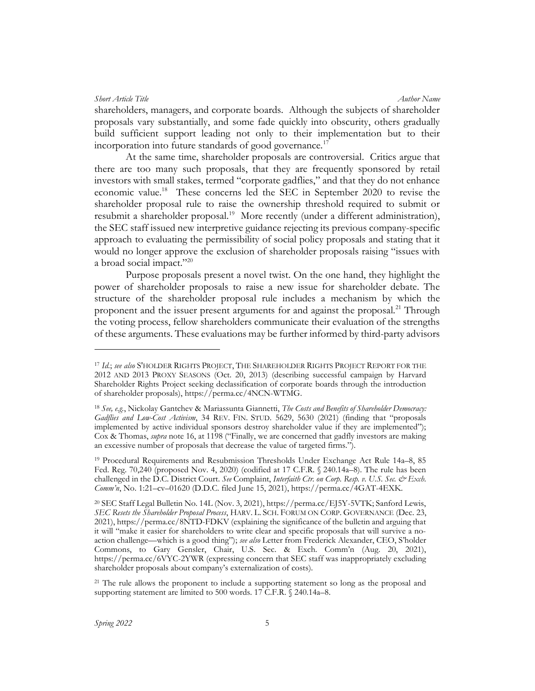shareholders, managers, and corporate boards. Although the subjects of shareholder proposals vary substantially, and some fade quickly into obscurity, others gradually build sufficient support leading not only to their implementation but to their incorporation into future standards of good governance.<sup>17</sup>

At the same time, shareholder proposals are controversial. Critics argue that there are too many such proposals, that they are frequently sponsored by retail investors with small stakes, termed "corporate gadflies," and that they do not enhance economic value.<sup>18</sup> These concerns led the SEC in September 2020 to revise the shareholder proposal rule to raise the ownership threshold required to submit or resubmit a shareholder proposal.<sup>19</sup> More recently (under a different administration), the SEC staff issued new interpretive guidance rejecting its previous company-specific approach to evaluating the permissibility of social policy proposals and stating that it would no longer approve the exclusion of shareholder proposals raising "issues with a broad social impact."<sup>20</sup>

Purpose proposals present a novel twist. On the one hand, they highlight the power of shareholder proposals to raise a new issue for shareholder debate. The structure of the shareholder proposal rule includes a mechanism by which the proponent and the issuer present arguments for and against the proposal.<sup>21</sup> Through the voting process, fellow shareholders communicate their evaluation of the strengths of these arguments. These evaluations may be further informed by third-party advisors

<sup>&</sup>lt;sup>17</sup> Id.; see also S'HOLDER RIGHTS PROJECT, THE SHAREHOLDER RIGHTS PROJECT REPORT FOR THE 2012 AND 2013 PROXY SEASONS (Oct. 20, 2013) (describing successful campaign by Harvard Shareholder Rights Project seeking declassification of corporate boards through the introduction of shareholder proposals), https://perma.cc/4NCN-WTMG.

<sup>&</sup>lt;sup>18</sup> See, e.g., Nickolay Gantchev & Mariassunta Giannetti, *The Costs and Benefits of Shareholder Democracy*: Gadflies and Low-Cost Activism, 34 REV. FIN. STUD. 5629, 5630 (2021) (finding that "proposals implemented by active individual sponsors destroy shareholder value if they are implemented"); Cox & Thomas, supra note 16, at 1198 ("Finally, we are concerned that gadfly investors are making an excessive number of proposals that decrease the value of targeted firms.").

<sup>19</sup> Procedural Requirements and Resubmission Thresholds Under Exchange Act Rule 14a–8, 85 Fed. Reg. 70,240 (proposed Nov. 4, 2020) (codified at 17 C.F.R. § 240.14a–8). The rule has been challenged in the D.C. District Court. See Complaint, Interfaith Ctr. on Corp. Resp. v. U.S. Sec. & Exch. Comm'n, No. 1:21–cv–01620 (D.D.C. filed June 15, 2021), https://perma.cc/4GAT-4EXK.

<sup>20</sup> SEC Staff Legal Bulletin No. 14L (Nov. 3, 2021), https://perma.cc/EJ5Y-5VTK; Sanford Lewis, SEC Resets the Shareholder Proposal Process, HARV. L. SCH. FORUM ON CORP. GOVERNANCE (Dec. 23, 2021), https://perma.cc/8NTD-FDKV (explaining the significance of the bulletin and arguing that it will "make it easier for shareholders to write clear and specific proposals that will survive a noaction challenge—which is a good thing"); see also Letter from Frederick Alexander, CEO, S'holder Commons, to Gary Gensler, Chair, U.S. Sec. & Exch. Comm'n (Aug. 20, 2021), https://perma.cc/6VYC-2YWR (expressing concern that SEC staff was inappropriately excluding shareholder proposals about company's externalization of costs).

<sup>&</sup>lt;sup>21</sup> The rule allows the proponent to include a supporting statement so long as the proposal and supporting statement are limited to 500 words. 17 C.F.R. § 240.14a-8.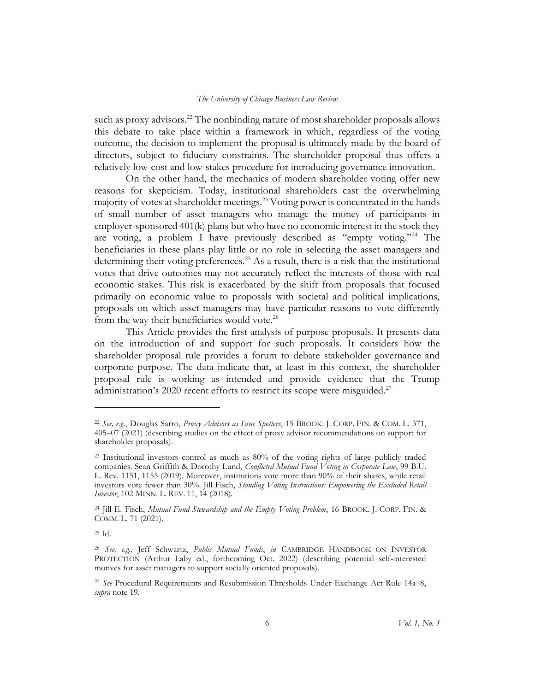such as proxy advisors.<sup>22</sup> The nonbinding nature of most shareholder proposals allows this debate to take place within a framework in which, regardless of the voting outcome, the decision to implement the proposal is ultimately made by the board of directors, subject to fiduciary constraints. The shareholder proposal thus offers a relatively low-cost and low-stakes procedure for introducing governance innovation.

On the other hand, the mechanics of modern shareholder voting offer new reasons for skepticism. Today, institutional shareholders cast the overwhelming majority of votes at shareholder meetings.<sup>23</sup> Voting power is concentrated in the hands of small number of asset managers who manage the money of participants in employer-sponsored 401(k) plans but who have no economic interest in the stock they are voting, a problem I have previously described as "empty voting."<sup>24</sup> The beneficiaries in these plans play little or no role in selecting the asset managers and determining their voting preferences.<sup>25</sup> As a result, there is a risk that the institutional votes that drive outcomes may not accurately reflect the interests of those with real economic stakes. This risk is exacerbated by the shift from proposals that focused primarily on economic value to proposals with societal and political implications, proposals on which asset managers may have particular reasons to vote differently from the way their beneficiaries would vote.<sup>26</sup>

This Article provides the first analysis of purpose proposals. It presents data on the introduction of and support for such proposals. It considers how the shareholder proposal rule provides a forum to debate stakeholder governance and corporate purpose. The data indicate that, at least in this context, the shareholder proposal rule is working as intended and provide evidence that the Trump administration's 2020 recent efforts to restrict its scope were misguided.<sup>27</sup>

<sup>&</sup>lt;sup>22</sup> See, e.g., Douglas Sarro, Proxy Advisors as Issue Spotters, 15 BROOK. J. CORP. FIN. & COM. L. 371, 405–07 (2021) (describing studies on the effect of proxy advisor recommendations on support for shareholder proposals).

<sup>&</sup>lt;sup>23</sup> Institutional investors control as much as 80% of the voting rights of large publicly traded companies. Sean Griffith & Dorothy Lund, Conflicted Mutual Fund Voting in Corporate Law, 99 B.U. L. Rev. 1151, 1155 (2019). Moreover, institutions vote more than 90% of their shares, while retail investors vote fewer than 30%. Jill Fisch, Standing Voting Instructions: Empowering the Excluded Retail Investor, 102 MINN. L. REV. 11, 14 (2018).

<sup>&</sup>lt;sup>24</sup> Jill E. Fisch, Mutual Fund Stewardship and the Empty Voting Problem, 16 BROOK. J. CORP. FIN. & COMM. L. 71 (2021).

<sup>25</sup> Id.

<sup>26</sup> See, e.g., Jeff Schwartz, Public Mutual Funds, in CAMBRIDGE HANDBOOK ON INVESTOR PROTECTION (Arthur Laby ed., forthcoming Oct. 2022) (describing potential self-interested motives for asset managers to support socially oriented proposals).

<sup>&</sup>lt;sup>27</sup> See Procedural Requirements and Resubmission Thresholds Under Exchange Act Rule 14a–8, subra note 19.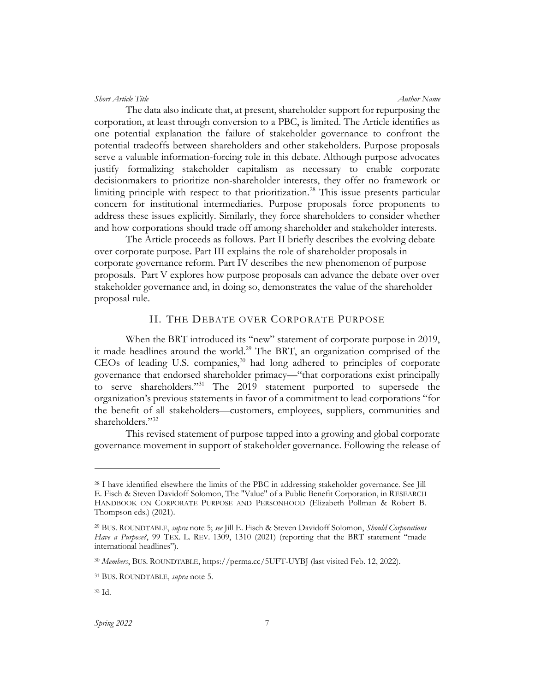The data also indicate that, at present, shareholder support for repurposing the corporation, at least through conversion to a PBC, is limited. The Article identifies as one potential explanation the failure of stakeholder governance to confront the potential tradeoffs between shareholders and other stakeholders. Purpose proposals serve a valuable information-forcing role in this debate. Although purpose advocates justify formalizing stakeholder capitalism as necessary to enable corporate decisionmakers to prioritize non-shareholder interests, they offer no framework or limiting principle with respect to that prioritization.<sup>28</sup> This issue presents particular concern for institutional intermediaries. Purpose proposals force proponents to address these issues explicitly. Similarly, they force shareholders to consider whether and how corporations should trade off among shareholder and stakeholder interests.

The Article proceeds as follows. Part II briefly describes the evolving debate over corporate purpose. Part III explains the role of shareholder proposals in corporate governance reform. Part IV describes the new phenomenon of purpose proposals. Part V explores how purpose proposals can advance the debate over over stakeholder governance and, in doing so, demonstrates the value of the shareholder proposal rule.

# II. THE DEBATE OVER CORPORATE PURPOSE

When the BRT introduced its "new" statement of corporate purpose in 2019, it made headlines around the world.<sup>29</sup> The BRT, an organization comprised of the CEOs of leading U.S. companies,<sup>30</sup> had long adhered to principles of corporate governance that endorsed shareholder primacy—"that corporations exist principally to serve shareholders."<sup>31</sup> The 2019 statement purported to supersede the organization's previous statements in favor of a commitment to lead corporations "for the benefit of all stakeholders—customers, employees, suppliers, communities and shareholders."<sup>32</sup>

This revised statement of purpose tapped into a growing and global corporate governance movement in support of stakeholder governance. Following the release of

<sup>&</sup>lt;sup>28</sup> I have identified elsewhere the limits of the PBC in addressing stakeholder governance. See Jill E. Fisch & Steven Davidoff Solomon, The "Value" of a Public Benefit Corporation, in RESEARCH HANDBOOK ON CORPORATE PURPOSE AND PERSONHOOD (Elizabeth Pollman & Robert B. Thompson eds.) (2021).

<sup>&</sup>lt;sup>29</sup> BUS. ROUNDTABLE, supra note 5; see Jill E. Fisch & Steven Davidoff Solomon, Should Corporations Have a Purpose?, 99 TEX. L. REV. 1309, 1310 (2021) (reporting that the BRT statement "made international headlines").

<sup>30</sup> Members, BUS. ROUNDTABLE, https://perma.cc/5UFT-UYBJ (last visited Feb. 12, 2022).

<sup>&</sup>lt;sup>31</sup> BUS. ROUNDTABLE, *supra* note 5.

<sup>32</sup> Id.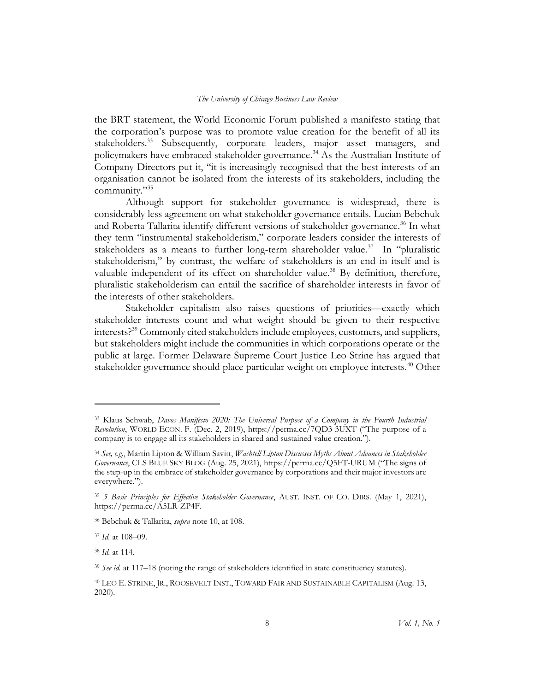the BRT statement, the World Economic Forum published a manifesto stating that the corporation's purpose was to promote value creation for the benefit of all its stakeholders.<sup>33</sup> Subsequently, corporate leaders, major asset managers, and policymakers have embraced stakeholder governance.<sup>34</sup> As the Australian Institute of Company Directors put it, "it is increasingly recognised that the best interests of an organisation cannot be isolated from the interests of its stakeholders, including the community."<sup>35</sup>

Although support for stakeholder governance is widespread, there is considerably less agreement on what stakeholder governance entails. Lucian Bebchuk and Roberta Tallarita identify different versions of stakeholder governance.<sup>36</sup> In what they term "instrumental stakeholderism," corporate leaders consider the interests of stakeholders as a means to further long-term shareholder value.<sup>37</sup> In "pluralistic stakeholderism," by contrast, the welfare of stakeholders is an end in itself and is valuable independent of its effect on shareholder value.<sup>38</sup> By definition, therefore, pluralistic stakeholderism can entail the sacrifice of shareholder interests in favor of the interests of other stakeholders.

Stakeholder capitalism also raises questions of priorities—exactly which stakeholder interests count and what weight should be given to their respective interests?<sup>39</sup> Commonly cited stakeholders include employees, customers, and suppliers, but stakeholders might include the communities in which corporations operate or the public at large. Former Delaware Supreme Court Justice Leo Strine has argued that stakeholder governance should place particular weight on employee interests.<sup>40</sup> Other

<sup>&</sup>lt;sup>33</sup> Klaus Schwab, Davos Manifesto 2020: The Universal Purpose of a Company in the Fourth Industrial Revolution, WORLD ECON. F. (Dec. 2, 2019), https://perma.cc/7QD3-3UXT ("The purpose of a company is to engage all its stakeholders in shared and sustained value creation.").

<sup>34</sup> See, e.g., Martin Lipton & William Savitt, Wachtell Lipton Discusses Myths About Advances in Stakeholder Governance, CLS BLUE SKY BLOG (Aug. 25, 2021), https://perma.cc/Q5FT-URUM ("The signs of the step-up in the embrace of stakeholder governance by corporations and their major investors are everywhere.").

<sup>&</sup>lt;sup>35</sup> 5 Basic Principles for Effective Stakeholder Governance, AUST. INST. OF CO. DIRS. (May 1, 2021), https://perma.cc/A5LR-ZP4F.

<sup>36</sup> Bebchuk & Tallarita, supra note 10, at 108.

<sup>37</sup> Id. at 108–09.

<sup>38</sup> Id. at 114.

 $39$  See id. at 117–18 (noting the range of stakeholders identified in state constituency statutes).

<sup>40</sup> LEO E. STRINE, JR., ROOSEVELT INST., TOWARD FAIR AND SUSTAINABLE CAPITALISM (Aug. 13, 2020).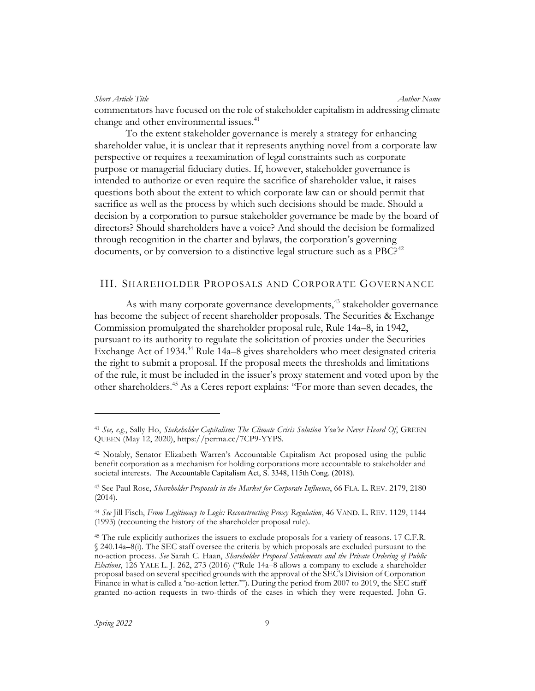Short Article Title Author Name (Author Name Author Name Author Name Author Name commentators have focused on the role of stakeholder capitalism in addressing climate change and other environmental issues.<sup>41</sup>

To the extent stakeholder governance is merely a strategy for enhancing shareholder value, it is unclear that it represents anything novel from a corporate law perspective or requires a reexamination of legal constraints such as corporate purpose or managerial fiduciary duties. If, however, stakeholder governance is intended to authorize or even require the sacrifice of shareholder value, it raises questions both about the extent to which corporate law can or should permit that sacrifice as well as the process by which such decisions should be made. Should a decision by a corporation to pursue stakeholder governance be made by the board of directors? Should shareholders have a voice? And should the decision be formalized through recognition in the charter and bylaws, the corporation's governing documents, or by conversion to a distinctive legal structure such as a PBC?<sup>42</sup>

# III. SHAREHOLDER PROPOSALS AND CORPORATE GOVERNANCE

As with many corporate governance developments,<sup>43</sup> stakeholder governance has become the subject of recent shareholder proposals. The Securities & Exchange Commission promulgated the shareholder proposal rule, Rule 14a–8, in 1942, pursuant to its authority to regulate the solicitation of proxies under the Securities Exchange Act of 1934.<sup>44</sup> Rule 14a–8 gives shareholders who meet designated criteria the right to submit a proposal. If the proposal meets the thresholds and limitations of the rule, it must be included in the issuer's proxy statement and voted upon by the other shareholders.<sup>45</sup> As a Ceres report explains: "For more than seven decades, the

<sup>&</sup>lt;sup>41</sup> See, e.g., Sally Ho, Stakeholder Capitalism: The Climate Crisis Solution You've Never Heard Of, GREEN QUEEN (May 12, 2020), https://perma.cc/7CP9-YYPS.

<sup>42</sup> Notably, Senator Elizabeth Warren's Accountable Capitalism Act proposed using the public benefit corporation as a mechanism for holding corporations more accountable to stakeholder and societal interests. The Accountable Capitalism Act, S. 3348, 115th Cong. (2018).

<sup>&</sup>lt;sup>43</sup> See Paul Rose, Shareholder Proposals in the Market for Corporate Influence, 66 FLA. L. REV. 2179, 2180 (2014).

<sup>44</sup> See Jill Fisch, From Legitimacy to Logic: Reconstructing Proxy Regulation, 46 VAND. L. REV. 1129, 1144 (1993) (recounting the history of the shareholder proposal rule).

<sup>&</sup>lt;sup>45</sup> The rule explicitly authorizes the issuers to exclude proposals for a variety of reasons. 17 C.F.R. § 240.14a–8(i). The SEC staff oversee the criteria by which proposals are excluded pursuant to the no-action process. See Sarah C. Haan, Shareholder Proposal Settlements and the Private Ordering of Public Elections, 126 YALE L. J. 262, 273 (2016) ("Rule 14a–8 allows a company to exclude a shareholder proposal based on several specified grounds with the approval of the SEC's Division of Corporation Finance in what is called a 'no-action letter.'"). During the period from 2007 to 2019, the SEC staff granted no-action requests in two-thirds of the cases in which they were requested. John G.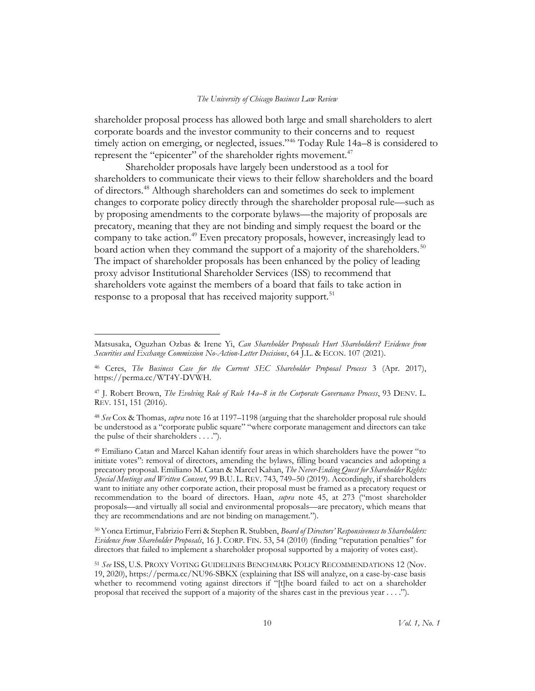shareholder proposal process has allowed both large and small shareholders to alert corporate boards and the investor community to their concerns and to request timely action on emerging, or neglected, issues."<sup>46</sup> Today Rule 14a–8 is considered to represent the "epicenter" of the shareholder rights movement.<sup>47</sup>

Shareholder proposals have largely been understood as a tool for shareholders to communicate their views to their fellow shareholders and the board of directors.<sup>48</sup> Although shareholders can and sometimes do seek to implement changes to corporate policy directly through the shareholder proposal rule—such as by proposing amendments to the corporate bylaws—the majority of proposals are precatory, meaning that they are not binding and simply request the board or the company to take action.<sup>49</sup> Even precatory proposals, however, increasingly lead to board action when they command the support of a majority of the shareholders.<sup>50</sup> The impact of shareholder proposals has been enhanced by the policy of leading proxy advisor Institutional Shareholder Services (ISS) to recommend that shareholders vote against the members of a board that fails to take action in response to a proposal that has received majority support.<sup>51</sup>

Matsusaka, Oguzhan Ozbas & Irene Yi, Can Shareholder Proposals Hurt Shareholders? Evidence from Securities and Exchange Commission No-Action-Letter Decisions, 64 J.L. & ECON. 107 (2021).

<sup>&</sup>lt;sup>46</sup> Ceres, The Business Case for the Current SEC Shareholder Proposal Process 3 (Apr. 2017), https://perma.cc/WT4Y-DVWH.

<sup>47</sup> J. Robert Brown, The Evolving Role of Rule 14a-8 in the Corporate Governance Process, 93 DENV. L. REV. 151, 151 (2016).

<sup>48</sup> See Cox & Thomas, supra note 16 at 1197-1198 (arguing that the shareholder proposal rule should be understood as a "corporate public square" "where corporate management and directors can take the pulse of their shareholders . . . .").

<sup>49</sup> Emiliano Catan and Marcel Kahan identify four areas in which shareholders have the power "to initiate votes": removal of directors, amending the bylaws, filling board vacancies and adopting a precatory proposal. Emiliano M. Catan & Marcel Kahan, The Never-Ending Quest for Shareholder Rights: Special Meetings and Written Consent, 99 B.U. L. REV. 743, 749-50 (2019). Accordingly, if shareholders want to initiate any other corporate action, their proposal must be framed as a precatory request or recommendation to the board of directors. Haan, supra note 45, at 273 ("most shareholder proposals—and virtually all social and environmental proposals—are precatory, which means that they are recommendations and are not binding on management.").

<sup>50</sup> Yonca Ertimur, Fabrizio Ferri & Stephen R. Stubben, Board of Directors' Responsiveness to Shareholders: Evidence from Shareholder Proposals, 16 J. CORP. FIN. 53, 54 (2010) (finding "reputation penalties" for directors that failed to implement a shareholder proposal supported by a majority of votes cast).

<sup>51</sup> See ISS, U.S. PROXY VOTING GUIDELINES BENCHMARK POLICY RECOMMENDATIONS 12 (Nov. 19, 2020), https://perma.cc/NU96-SBKX (explaining that ISS will analyze, on a case-by-case basis whether to recommend voting against directors if "[t]he board failed to act on a shareholder proposal that received the support of a majority of the shares cast in the previous year . . . .").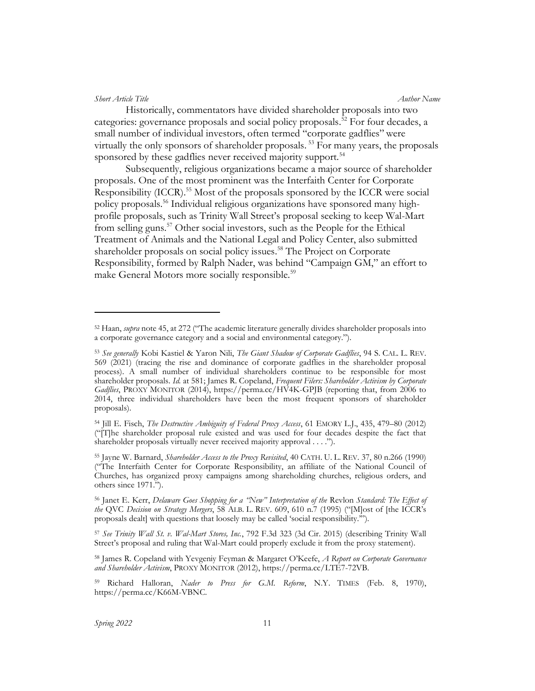Historically, commentators have divided shareholder proposals into two categories: governance proposals and social policy proposals.<sup>52</sup> For four decades, a small number of individual investors, often termed "corporate gadflies" were virtually the only sponsors of shareholder proposals.<sup>53</sup> For many years, the proposals sponsored by these gadflies never received majority support.<sup>54</sup>

Subsequently, religious organizations became a major source of shareholder proposals. One of the most prominent was the Interfaith Center for Corporate Responsibility (ICCR).<sup>55</sup> Most of the proposals sponsored by the ICCR were social policy proposals.56 Individual religious organizations have sponsored many highprofile proposals, such as Trinity Wall Street's proposal seeking to keep Wal-Mart from selling guns.<sup>57</sup> Other social investors, such as the People for the Ethical Treatment of Animals and the National Legal and Policy Center, also submitted shareholder proposals on social policy issues.<sup>58</sup> The Project on Corporate Responsibility, formed by Ralph Nader, was behind "Campaign GM," an effort to make General Motors more socially responsible.<sup>59</sup>

 $52$  Haan, *supra* note 45, at 272 ("The academic literature generally divides shareholder proposals into a corporate governance category and a social and environmental category.").

<sup>53</sup> See generally Kobi Kastiel & Yaron Nili, The Giant Shadow of Corporate Gadflies, 94 S. CAL. L. REV. 569 (2021) (tracing the rise and dominance of corporate gadflies in the shareholder proposal process). A small number of individual shareholders continue to be responsible for most shareholder proposals. Id. at 581; James R. Copeland, Frequent Filers: Shareholder Activism by Corporate Gadflies, PROXY MONITOR (2014), https://perma.cc/HV4K-GPJB (reporting that, from 2006 to 2014, three individual shareholders have been the most frequent sponsors of shareholder proposals).

<sup>54</sup> Jill E. Fisch, The Destructive Ambiguity of Federal Proxy Access, 61 EMORY L.J., 435, 479–80 (2012) ("[T]he shareholder proposal rule existed and was used for four decades despite the fact that shareholder proposals virtually never received majority approval . . . .").

<sup>55</sup> Jayne W. Barnard, Shareholder Access to the Proxy Revisited, 40 CATH. U. L. REV. 37, 80 n.266 (1990) ("The Interfaith Center for Corporate Responsibility, an affiliate of the National Council of Churches, has organized proxy campaigns among shareholding churches, religious orders, and others since 1971.").

<sup>&</sup>lt;sup>56</sup> Janet E. Kerr, Delaware Goes Shopping for a "New" Interpretation of the Revlon Standard: The Effect of the QVC Decision on Strategy Mergers, 58 ALB. L. REV. 609, 610 n.7 (1995) ("Most of [the ICCR's proposals dealt] with questions that loosely may be called 'social responsibility.'").

<sup>57</sup> See Trinity Wall St. v. Wal-Mart Stores, Inc., 792 F.3d 323 (3d Cir. 2015) (describing Trinity Wall Street's proposal and ruling that Wal-Mart could properly exclude it from the proxy statement).

<sup>&</sup>lt;sup>58</sup> James R. Copeland with Yevgeniy Feyman & Margaret O'Keefe, A Report on Corporate Governance and Shareholder Activism, PROXY MONITOR (2012), https://perma.cc/LTE7-72VB.

<sup>59</sup> Richard Halloran, Nader to Press for G.M. Reform, N.Y. TIMES (Feb. 8, 1970), https://perma.cc/K66M-VBNC.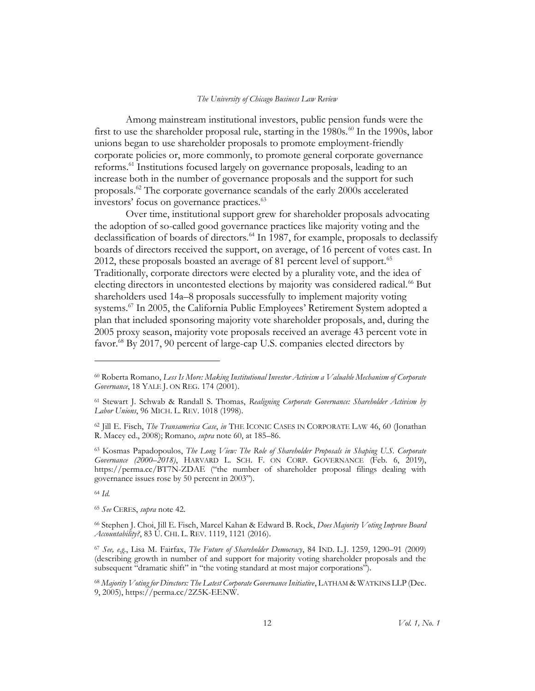Among mainstream institutional investors, public pension funds were the first to use the shareholder proposal rule, starting in the 1980s.<sup>60</sup> In the 1990s, labor unions began to use shareholder proposals to promote employment-friendly corporate policies or, more commonly, to promote general corporate governance reforms.<sup>61</sup> Institutions focused largely on governance proposals, leading to an increase both in the number of governance proposals and the support for such proposals.<sup>62</sup> The corporate governance scandals of the early 2000s accelerated investors' focus on governance practices.<sup>63</sup>

Over time, institutional support grew for shareholder proposals advocating the adoption of so-called good governance practices like majority voting and the declassification of boards of directors.<sup>64</sup> In 1987, for example, proposals to declassify boards of directors received the support, on average, of 16 percent of votes cast. In 2012, these proposals boasted an average of 81 percent level of support.<sup>65</sup> Traditionally, corporate directors were elected by a plurality vote, and the idea of electing directors in uncontested elections by majority was considered radical.<sup>66</sup> But shareholders used 14a–8 proposals successfully to implement majority voting systems.<sup>67</sup> In 2005, the California Public Employees' Retirement System adopted a plan that included sponsoring majority vote shareholder proposals, and, during the 2005 proxy season, majority vote proposals received an average 43 percent vote in favor.<sup>68</sup> By 2017, 90 percent of large-cap U.S. companies elected directors by

<sup>64</sup> Id.

<sup>60</sup> Roberta Romano, Less Is More: Making Institutional Investor Activism a Valuable Mechanism of Corporate Governance, 18 YALE J. ON REG. 174 (2001).

<sup>&</sup>lt;sup>61</sup> Stewart J. Schwab & Randall S. Thomas, Realigning Corporate Governance: Shareholder Activism by Labor Unions, 96 MICH. L. REV. 1018 (1998).

<sup>62</sup> Jill E. Fisch, The Transamerica Case, in THE ICONIC CASES IN CORPORATE LAW 46, 60 (Jonathan R. Macey ed., 2008); Romano, supra note 60, at 185–86.

 $63$  Kosmas Papadopoulos, The Long View: The Role of Shareholder Proposals in Shaping U.S. Corporate Governance (2000–2018), HARVARD L. SCH. F. ON CORP. GOVERNANCE (Feb. 6, 2019), https://perma.cc/BT7N-ZDAE ("the number of shareholder proposal filings dealing with governance issues rose by 50 percent in 2003").

<sup>65</sup> See CERES, supra note 42.

<sup>66</sup> Stephen J. Choi, Jill E. Fisch, Marcel Kahan & Edward B. Rock, Does Majority Voting Improve Board Accountability?, 83 U. CHI. L. REV. 1119, 1121 (2016).

<sup>67</sup> See, e.g., Lisa M. Fairfax, The Future of Shareholder Democracy, 84 IND. L.J. 1259, 1290–91 (2009) (describing growth in number of and support for majority voting shareholder proposals and the subsequent "dramatic shift" in "the voting standard at most major corporations").

<sup>&</sup>lt;sup>68</sup> Majority Voting for Directors: The Latest Corporate Governance Initiative, LATHAM & WATKINS LLP (Dec. 9, 2005), https://perma.cc/2Z5K-EENW.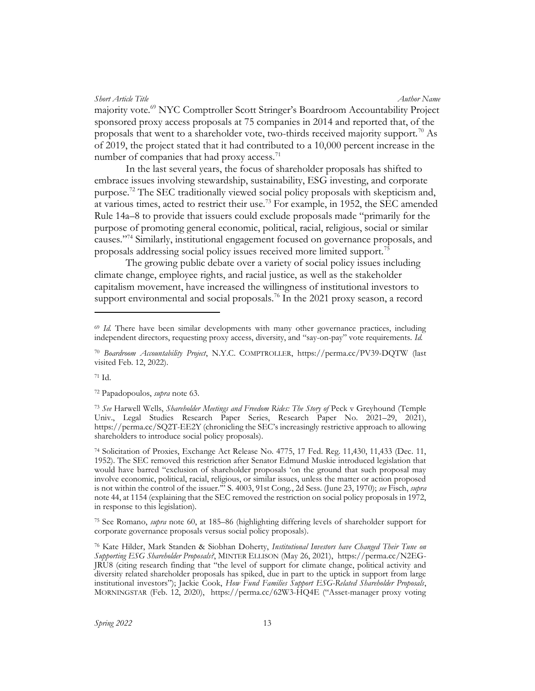Short Article Title Author Name (Author Name Author Name Author Name Author Name Author Name Author Name (Author Name Author Name Author Name Author Name Author Name Author Name Author Name Author Name (Author Name Author majority vote.<sup>69</sup> NYC Comptroller Scott Stringer's Boardroom Accountability Project sponsored proxy access proposals at 75 companies in 2014 and reported that, of the proposals that went to a shareholder vote, two-thirds received majority support.<sup>70</sup> As of 2019, the project stated that it had contributed to a 10,000 percent increase in the number of companies that had proxy access. $<sup>71</sup>$ </sup>

In the last several years, the focus of shareholder proposals has shifted to embrace issues involving stewardship, sustainability, ESG investing, and corporate purpose.<sup>72</sup> The SEC traditionally viewed social policy proposals with skepticism and, at various times, acted to restrict their use.<sup>73</sup> For example, in 1952, the SEC amended Rule 14a–8 to provide that issuers could exclude proposals made "primarily for the purpose of promoting general economic, political, racial, religious, social or similar causes."<sup>74</sup> Similarly, institutional engagement focused on governance proposals, and proposals addressing social policy issues received more limited support.<sup>75</sup>

The growing public debate over a variety of social policy issues including climate change, employee rights, and racial justice, as well as the stakeholder capitalism movement, have increased the willingness of institutional investors to support environmental and social proposals.<sup>76</sup> In the 2021 proxy season, a record

<sup>75</sup> See Romano, supra note 60, at 185–86 (highlighting differing levels of shareholder support for corporate governance proposals versus social policy proposals).

 $69$  Id. There have been similar developments with many other governance practices, including independent directors, requesting proxy access, diversity, and "say-on-pay" vote requirements. Id.

<sup>70</sup> Boardroom Accountability Project, N.Y.C. COMPTROLLER, https://perma.cc/PV39-DQTW (last visited Feb. 12, 2022).

<sup>71</sup> Id.

<sup>72</sup> Papadopoulos, supra note 63.

<sup>&</sup>lt;sup>73</sup> See Harwell Wells, Shareholder Meetings and Freedom Rides: The Story of Peck v Greyhound (Temple Univ., Legal Studies Research Paper Series, Research Paper No. 2021–29, 2021), https://perma.cc/SQ2T-EE2Y (chronicling the SEC's increasingly restrictive approach to allowing shareholders to introduce social policy proposals).

<sup>74</sup> Solicitation of Proxies, Exchange Act Release No. 4775, 17 Fed. Reg. 11,430, 11,433 (Dec. 11, 1952). The SEC removed this restriction after Senator Edmund Muskie introduced legislation that would have barred "exclusion of shareholder proposals 'on the ground that such proposal may involve economic, political, racial, religious, or similar issues, unless the matter or action proposed is not within the control of the issuer." S. 4003, 91st Cong., 2d Sess. (June 23, 1970); see Fisch, supra note 44, at 1154 (explaining that the SEC removed the restriction on social policy proposals in 1972, in response to this legislation).

<sup>76</sup> Kate Hilder, Mark Standen & Siobhan Doherty, Institutional Investors have Changed Their Tune on Supporting ESG Shareholder Proposals?, MINTER ELLISON (May 26, 2021), https://perma.cc/N2EG-JRU8 (citing research finding that "the level of support for climate change, political activity and diversity related shareholder proposals has spiked, due in part to the uptick in support from large institutional investors"); Jackie Cook, How Fund Families Support ESG-Related Shareholder Proposals, MORNINGSTAR (Feb. 12, 2020), https://perma.cc/62W3-HQ4E ("Asset-manager proxy voting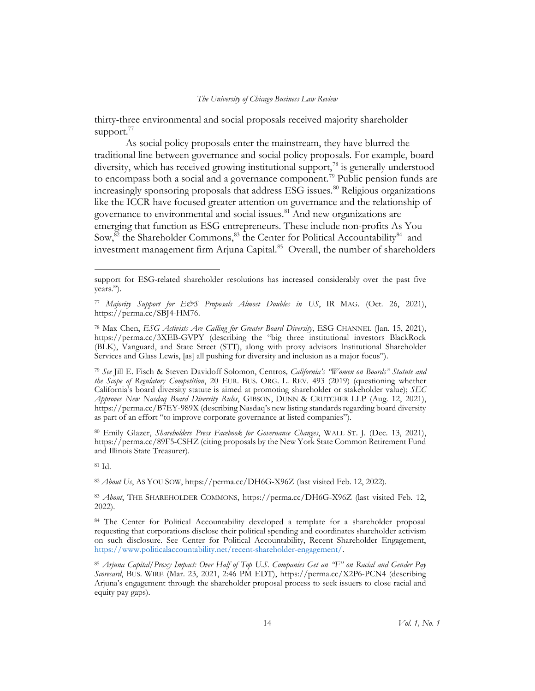thirty-three environmental and social proposals received majority shareholder support. $^{77}$ 

As social policy proposals enter the mainstream, they have blurred the traditional line between governance and social policy proposals. For example, board diversity, which has received growing institutional support,<sup>78</sup> is generally understood to encompass both a social and a governance component.<sup>79</sup> Public pension funds are increasingly sponsoring proposals that address ESG issues.<sup>80</sup> Religious organizations like the ICCR have focused greater attention on governance and the relationship of governance to environmental and social issues.<sup>81</sup> And new organizations are emerging that function as ESG entrepreneurs. These include non-profits As You Sow,<sup>82</sup> the Shareholder Commons,<sup>83</sup> the Center for Political Accountability<sup>84</sup> and investment management firm Arjuna Capital.<sup>85</sup> Overall, the number of shareholders

80 Emily Glazer, Shareholders Press Facebook for Governance Changes, WALL ST. J. (Dec. 13, 2021), https://perma.cc/89F5-CSHZ (citing proposals by the New York State Common Retirement Fund and Illinois State Treasurer).

<sup>81</sup> Id.

<sup>82</sup> About Us, AS YOU SOW, https://perma.cc/DH6G-X96Z (last visited Feb. 12, 2022).

83 About, THE SHAREHOLDER COMMONS, https://perma.cc/DH6G-X96Z (last visited Feb. 12, 2022).

84 The Center for Political Accountability developed a template for a shareholder proposal requesting that corporations disclose their political spending and coordinates shareholder activism on such disclosure. See Center for Political Accountability, Recent Shareholder Engagement, https://www.politicalaccountability.net/recent-shareholder-engagement/.

support for ESG-related shareholder resolutions has increased considerably over the past five years.").

<sup>&</sup>lt;sup>77</sup> Majority Support for E&S Proposals Almost Doubles in US, IR MAG. (Oct. 26, 2021), https://perma.cc/SBJ4-HM76.

<sup>&</sup>lt;sup>78</sup> Max Chen, *ESG Activists Are Calling for Greater Board Diversity*, *ESG CHANNEL* (Jan. 15, 2021), https://perma.cc/3XEB-GVPY (describing the "big three institutional investors BlackRock (BLK), Vanguard, and State Street (STT), along with proxy advisors Institutional Shareholder Services and Glass Lewis, [as] all pushing for diversity and inclusion as a major focus").

<sup>79</sup> See Jill E. Fisch & Steven Davidoff Solomon, Centros, California's "Women on Boards" Statute and the Scope of Regulatory Competition, 20 EUR. BUS. ORG. L. REV. 493 (2019) (questioning whether California's board diversity statute is aimed at promoting shareholder or stakeholder value); SEC Approves New Nasdaq Board Diversity Rules, GIBSON, DUNN & CRUTCHER LLP (Aug. 12, 2021), https://perma.cc/B7EY-989X (describing Nasdaq's new listing standards regarding board diversity as part of an effort "to improve corporate governance at listed companies").

<sup>85</sup> Arjuna Capital/Proxy Impact: Over Half of Top U.S. Companies Get an "F" on Racial and Gender Pay Scorecard, BUS. WIRE (Mar. 23, 2021, 2:46 PM EDT), https://perma.cc/X2P6-PCN4 (describing Arjuna's engagement through the shareholder proposal process to seek issuers to close racial and equity pay gaps).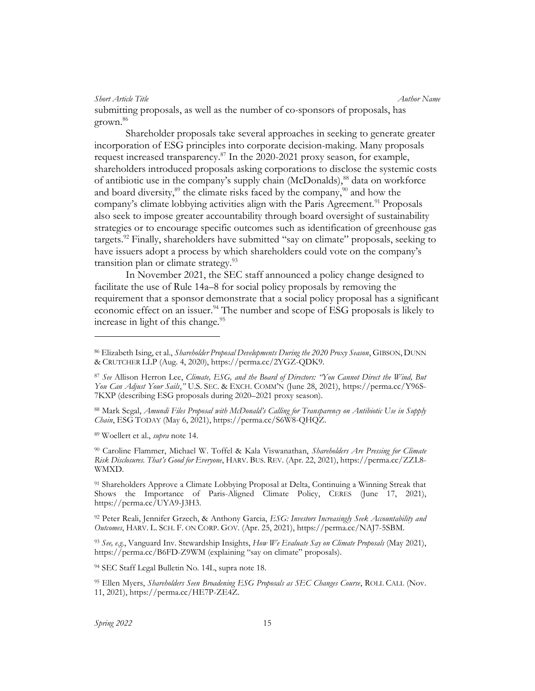submitting proposals, as well as the number of co-sponsors of proposals, has grown.<sup>86</sup>

Shareholder proposals take several approaches in seeking to generate greater incorporation of ESG principles into corporate decision-making. Many proposals request increased transparency. $\frac{87}{1}$  In the 2020-2021 proxy season, for example, shareholders introduced proposals asking corporations to disclose the systemic costs of antibiotic use in the company's supply chain (McDonalds),<sup>88</sup> data on workforce and board diversity,<sup>89</sup> the climate risks faced by the company,<sup>90</sup> and how the company's climate lobbying activities align with the Paris Agreement.<sup>91</sup> Proposals also seek to impose greater accountability through board oversight of sustainability strategies or to encourage specific outcomes such as identification of greenhouse gas targets.<sup>92</sup> Finally, shareholders have submitted "say on climate" proposals, seeking to have issuers adopt a process by which shareholders could vote on the company's transition plan or climate strategy.<sup>93</sup>

In November 2021, the SEC staff announced a policy change designed to facilitate the use of Rule 14a–8 for social policy proposals by removing the requirement that a sponsor demonstrate that a social policy proposal has a significant economic effect on an issuer.<sup>94</sup> The number and scope of ESG proposals is likely to increase in light of this change. $^{95}$ 

90 Caroline Flammer, Michael W. Toffel & Kala Viswanathan, Shareholders Are Pressing for Climate Risk Disclosures. That's Good for Everyone, HARV. BUS. REV. (Apr. 22, 2021), https://perma.cc/ZZL8- WMXD.

<sup>91</sup> Shareholders Approve a Climate Lobbying Proposal at Delta, Continuing a Winning Streak that Shows the Importance of Paris-Aligned Climate Policy, CERES (June 17, 2021), https://perma.cc/UYA9-J3H3.

92 Peter Reali, Jennifer Grzech, & Anthony Garcia, ESG: Investors Increasingly Seek Accountability and Outcomes, HARV. L. SCH. F. ON CORP. GOV. (Apr. 25, 2021), https://perma.cc/NAJ7-5SBM.

<sup>93</sup> See, e.g., Vanguard Inv. Stewardship Insights, How We Evaluate Say on Climate Proposals (May 2021), https://perma.cc/B6FD-Z9WM (explaining "say on climate" proposals).

<sup>94</sup> SEC Staff Legal Bulletin No. 14L, supra note 18.

95 Ellen Myers, Shareholders Seen Broadening ESG Proposals as SEC Changes Course, ROLL CALL (Nov. 11, 2021), https://perma.cc/HE7P-ZE4Z.

<sup>86</sup> Elizabeth Ising, et al., *Shareholder Proposal Developments During the 2020 Proxy Season*, GIBSON, DUNN & CRUTCHER LLP (Aug. 4, 2020), https://perma.cc/2YGZ-QDK9.

<sup>87</sup> See Allison Herron Lee, Climate, ESG, and the Board of Directors: "You Cannot Direct the Wind, But You Can Adjust Your Sails," U.S. SEC. & EXCH. COMM'N (June 28, 2021), https://perma.cc/Y96S-7KXP (describing ESG proposals during 2020–2021 proxy season).

<sup>88</sup> Mark Segal, Amundi Files Proposal with McDonald's Calling for Transparency on Antibiotic Use in Supply Chain, ESG TODAY (May 6, 2021), https://perma.cc/S6W8-QHQZ.

<sup>89</sup> Woellert et al., *supra* note 14.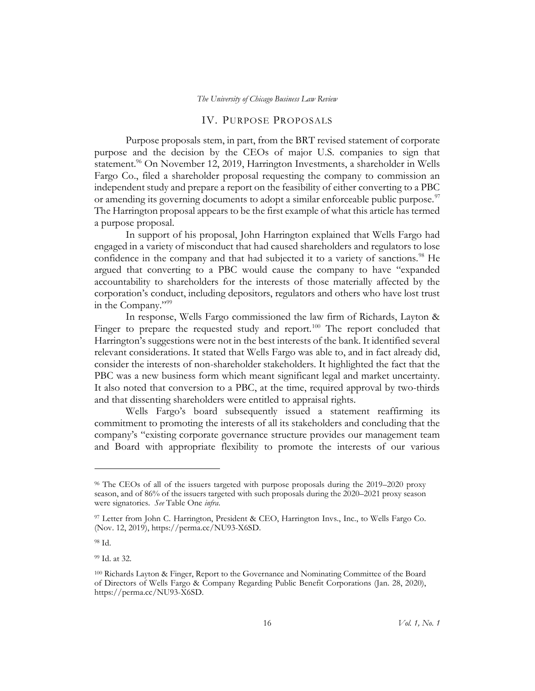# IV. PURPOSE PROPOSALS

Purpose proposals stem, in part, from the BRT revised statement of corporate purpose and the decision by the CEOs of major U.S. companies to sign that statement.<sup>96</sup> On November 12, 2019, Harrington Investments, a shareholder in Wells Fargo Co., filed a shareholder proposal requesting the company to commission an independent study and prepare a report on the feasibility of either converting to a PBC or amending its governing documents to adopt a similar enforceable public purpose.<sup>97</sup> The Harrington proposal appears to be the first example of what this article has termed a purpose proposal.

In support of his proposal, John Harrington explained that Wells Fargo had engaged in a variety of misconduct that had caused shareholders and regulators to lose confidence in the company and that had subjected it to a variety of sanctions.<sup>98</sup> He argued that converting to a PBC would cause the company to have "expanded accountability to shareholders for the interests of those materially affected by the corporation's conduct, including depositors, regulators and others who have lost trust in the Company."<sup>99</sup>

In response, Wells Fargo commissioned the law firm of Richards, Layton & Finger to prepare the requested study and report.<sup>100</sup> The report concluded that Harrington's suggestions were not in the best interests of the bank. It identified several relevant considerations. It stated that Wells Fargo was able to, and in fact already did, consider the interests of non-shareholder stakeholders. It highlighted the fact that the PBC was a new business form which meant significant legal and market uncertainty. It also noted that conversion to a PBC, at the time, required approval by two-thirds and that dissenting shareholders were entitled to appraisal rights.

Wells Fargo's board subsequently issued a statement reaffirming its commitment to promoting the interests of all its stakeholders and concluding that the company's "existing corporate governance structure provides our management team and Board with appropriate flexibility to promote the interests of our various

<sup>96</sup> The CEOs of all of the issuers targeted with purpose proposals during the 2019–2020 proxy season, and of 86% of the issuers targeted with such proposals during the 2020–2021 proxy season were signatories. See Table One infra.

<sup>97</sup> Letter from John C. Harrington, President & CEO, Harrington Invs., Inc., to Wells Fargo Co. (Nov. 12, 2019), https://perma.cc/NU93-X6SD.

<sup>98</sup> Id.

<sup>99</sup> Id. at 32.

<sup>100</sup> Richards Layton & Finger, Report to the Governance and Nominating Committee of the Board of Directors of Wells Fargo & Company Regarding Public Benefit Corporations (Jan. 28, 2020), https://perma.cc/NU93-X6SD.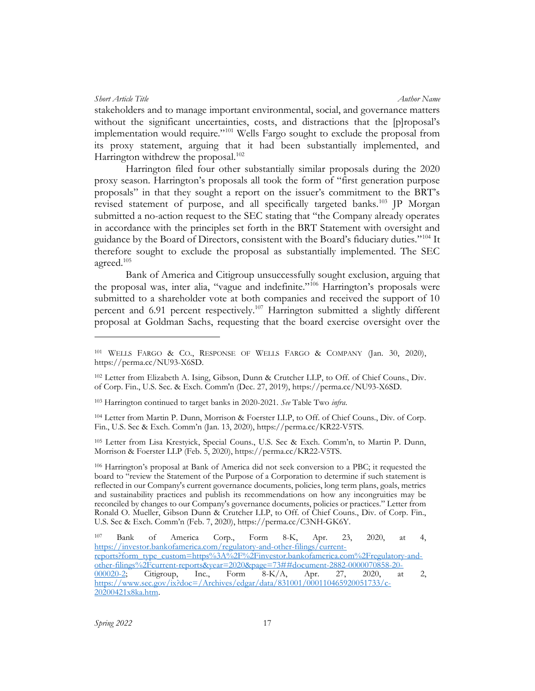stakeholders and to manage important environmental, social, and governance matters without the significant uncertainties, costs, and distractions that the [p]roposal's implementation would require."<sup>101</sup> Wells Fargo sought to exclude the proposal from its proxy statement, arguing that it had been substantially implemented, and Harrington withdrew the proposal. $102$ 

Harrington filed four other substantially similar proposals during the 2020 proxy season. Harrington's proposals all took the form of "first generation purpose proposals" in that they sought a report on the issuer's commitment to the BRT's revised statement of purpose, and all specifically targeted banks.<sup>103</sup> JP Morgan submitted a no-action request to the SEC stating that "the Company already operates in accordance with the principles set forth in the BRT Statement with oversight and guidance by the Board of Directors, consistent with the Board's fiduciary duties."<sup>104</sup> It therefore sought to exclude the proposal as substantially implemented. The SEC agreed. $^{105}$ 

Bank of America and Citigroup unsuccessfully sought exclusion, arguing that the proposal was, inter alia, "vague and indefinite."<sup>106</sup> Harrington's proposals were submitted to a shareholder vote at both companies and received the support of 10 percent and 6.91 percent respectively.<sup>107</sup> Harrington submitted a slightly different proposal at Goldman Sachs, requesting that the board exercise oversight over the

<sup>101</sup> WELLS FARGO & CO., RESPONSE OF WELLS FARGO & COMPANY (Jan. 30, 2020), https://perma.cc/NU93-X6SD.

<sup>102</sup> Letter from Elizabeth A. Ising, Gibson, Dunn & Crutcher LLP, to Off. of Chief Couns., Div. of Corp. Fin., U.S. Sec. & Exch. Comm'n (Dec. 27, 2019), https://perma.cc/NU93-X6SD.

<sup>&</sup>lt;sup>103</sup> Harrington continued to target banks in 2020-2021. See Table Two infra.

<sup>104</sup> Letter from Martin P. Dunn, Morrison & Foerster LLP, to Off. of Chief Couns., Div. of Corp. Fin., U.S. Sec & Exch. Comm'n (Jan. 13, 2020), https://perma.cc/KR22-V5TS.

<sup>105</sup> Letter from Lisa Krestyick, Special Couns., U.S. Sec & Exch. Comm'n, to Martin P. Dunn, Morrison & Foerster LLP (Feb. 5, 2020), https://perma.cc/KR22-V5TS.

<sup>106</sup> Harrington's proposal at Bank of America did not seek conversion to a PBC; it requested the board to "review the Statement of the Purpose of a Corporation to determine if such statement is reflected in our Company's current governance documents, policies, long term plans, goals, metrics and sustainability practices and publish its recommendations on how any incongruities may be reconciled by changes to our Company's governance documents, policies or practices." Letter from Ronald O. Mueller, Gibson Dunn & Crutcher LLP, to Off. of Chief Couns., Div. of Corp. Fin., U.S. Sec & Exch. Comm'n (Feb. 7, 2020), https://perma.cc/C3NH-GK6Y.

<sup>107</sup> Bank of America Corp., Form 8-K, Apr. 23, 2020, at 4, https://investor.bankofamerica.com/regulatory-and-other-filings/currentreports?form\_type\_custom=https%3A%2F%2Finvestor.bankofamerica.com%2Fregulatory-and- $\frac{\text{other-filings\%2Fcurrent-reports\&year=2020\&page=73\#4 document-2882-0000070858-20-}{000020-2}$ . Citieroup, Inc., Form 8-K/A, Apr. 27, 2020, at 000020-2; Citigroup, Inc., Form 8-K/A, Apr. 27, 2020, at 2, https://www.sec.gov/ix?doc=/Archives/edgar/data/831001/000110465920051733/c-20200421x8ka.htm.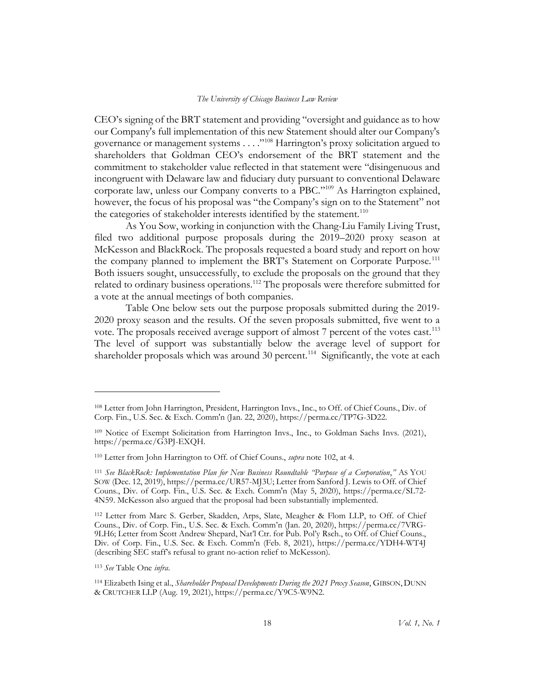CEO's signing of the BRT statement and providing "oversight and guidance as to how our Company's full implementation of this new Statement should alter our Company's governance or management systems . . . ."<sup>108</sup> Harrington's proxy solicitation argued to shareholders that Goldman CEO's endorsement of the BRT statement and the commitment to stakeholder value reflected in that statement were "disingenuous and incongruent with Delaware law and fiduciary duty pursuant to conventional Delaware corporate law, unless our Company converts to a PBC."<sup>109</sup> As Harrington explained, however, the focus of his proposal was "the Company's sign on to the Statement" not the categories of stakeholder interests identified by the statement.<sup>110</sup>

As You Sow, working in conjunction with the Chang-Liu Family Living Trust, filed two additional purpose proposals during the 2019–2020 proxy season at McKesson and BlackRock. The proposals requested a board study and report on how the company planned to implement the BRT's Statement on Corporate Purpose.<sup>111</sup> Both issuers sought, unsuccessfully, to exclude the proposals on the ground that they related to ordinary business operations.<sup>112</sup> The proposals were therefore submitted for a vote at the annual meetings of both companies.

Table One below sets out the purpose proposals submitted during the 2019- 2020 proxy season and the results. Of the seven proposals submitted, five went to a vote. The proposals received average support of almost 7 percent of the votes cast.<sup>113</sup> The level of support was substantially below the average level of support for shareholder proposals which was around 30 percent.<sup>114</sup> Significantly, the vote at each

<sup>108</sup> Letter from John Harrington, President, Harrington Invs., Inc., to Off. of Chief Couns., Div. of Corp. Fin., U.S. Sec. & Exch. Comm'n (Jan. 22, 2020), https://perma.cc/TP7G-3D22.

<sup>109</sup> Notice of Exempt Solicitation from Harrington Invs., Inc., to Goldman Sachs Invs. (2021), https://perma.cc/G3PJ-EXQH.

<sup>110</sup> Letter from John Harrington to Off. of Chief Couns., supra note 102, at 4.

<sup>111</sup> See BlackRock: Implementation Plan for New Business Roundtable "Purpose of a Corporation," AS YOU SOW (Dec. 12, 2019), https://perma.cc/UR57-MJ3U; Letter from Sanford J. Lewis to Off. of Chief Couns., Div. of Corp. Fin., U.S. Sec. & Exch. Comm'n (May 5, 2020), https://perma.cc/SL72- 4N59. McKesson also argued that the proposal had been substantially implemented.

<sup>112</sup> Letter from Marc S. Gerber, Skadden, Arps, Slate, Meagher & Flom LLP, to Off. of Chief Couns., Div. of Corp. Fin., U.S. Sec. & Exch. Comm'n (Jan. 20, 2020), https://perma.cc/7VRG-9LH6; Letter from Scott Andrew Shepard, Nat'l Ctr. for Pub. Pol'y Rsch., to Off. of Chief Couns., Div. of Corp. Fin., U.S. Sec. & Exch. Comm'n (Feb. 8, 2021), https://perma.cc/YDH4-WT4J (describing SEC staff's refusal to grant no-action relief to McKesson).

<sup>113</sup> See Table One infra.

<sup>114</sup> Elizabeth Ising et al., *Shareholder Proposal Developments During the 2021 Proxy Season*, GIBSON, DUNN & CRUTCHER LLP (Aug. 19, 2021), https://perma.cc/Y9C5-W9N2.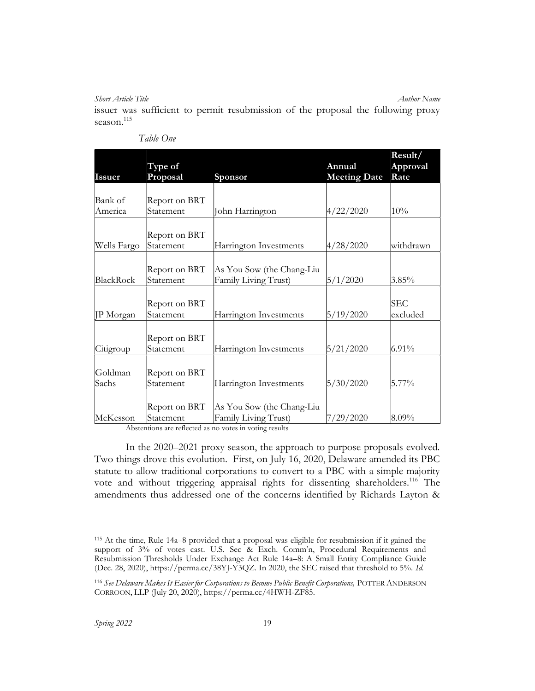issuer was sufficient to permit resubmission of the proposal the following proxy season. $115$ 

|                    | Type of                    |                                                   | Annual              | Result/<br>Approval    |
|--------------------|----------------------------|---------------------------------------------------|---------------------|------------------------|
| <b>Issuer</b>      | Proposal                   | Sponsor                                           | <b>Meeting Date</b> | Rate                   |
| Bank of<br>America | Report on BRT<br>Statement | John Harrington                                   | 4/22/2020           | 10%                    |
|                    |                            |                                                   |                     |                        |
| Wells Fargo        | Report on BRT<br>Statement | Harrington Investments                            | 4/28/2020           | withdrawn              |
| BlackRock          | Report on BRT<br>Statement | As You Sow (the Chang-Liu<br>Family Living Trust) | 5/1/2020            | $3.85\%$               |
| JP Morgan          | Report on BRT<br>Statement | Harrington Investments                            | 5/19/2020           | <b>SEC</b><br>excluded |
| Citigroup          | Report on BRT<br>Statement | Harrington Investments                            | 5/21/2020           | $6.91\%$               |
| Goldman<br>Sachs   | Report on BRT<br>Statement | Harrington Investments                            | 5/30/2020           | 5.77%                  |
| McKesson           | Report on BRT<br>Statement | As You Sow (the Chang-Liu<br>Family Living Trust) | 7/29/2020           | $8.09\%$               |

| Table One |  |
|-----------|--|
|           |  |

Abstentions are reflected as no votes in voting results

In the 2020–2021 proxy season, the approach to purpose proposals evolved. Two things drove this evolution. First, on July 16, 2020, Delaware amended its PBC statute to allow traditional corporations to convert to a PBC with a simple majority vote and without triggering appraisal rights for dissenting shareholders.<sup>116</sup> The amendments thus addressed one of the concerns identified by Richards Layton &

<sup>115</sup> At the time, Rule 14a–8 provided that a proposal was eligible for resubmission if it gained the support of 3% of votes cast. U.S. Sec & Exch. Comm'n, Procedural Requirements and Resubmission Thresholds Under Exchange Act Rule 14a–8: A Small Entity Compliance Guide (Dec. 28, 2020), https://perma.cc/38YJ-Y3QZ. In 2020, the SEC raised that threshold to 5%. Id.

<sup>116</sup> See Delaware Makes It Easier for Corporations to Become Public Benefit Corporations, POTTER ANDERSON CORROON, LLP (July 20, 2020), https://perma.cc/4HWH-ZF85.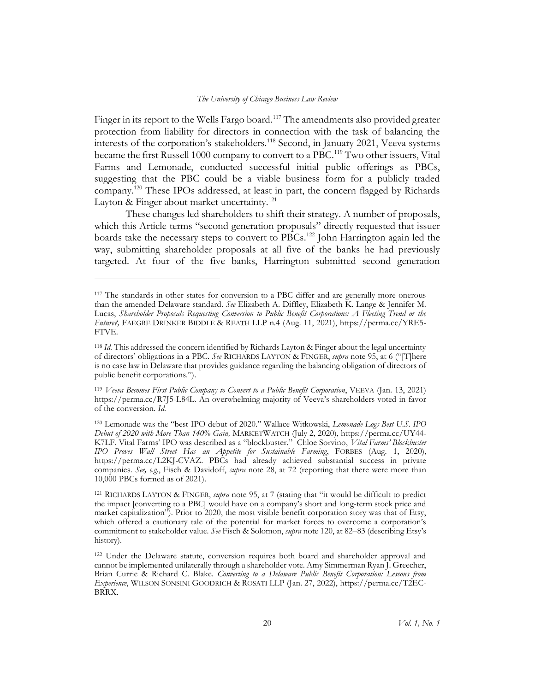Finger in its report to the Wells Fargo board.<sup>117</sup> The amendments also provided greater protection from liability for directors in connection with the task of balancing the interests of the corporation's stakeholders.<sup>118</sup> Second, in January 2021, Veeva systems became the first Russell 1000 company to convert to a PBC.<sup>119</sup> Two other issuers, Vital Farms and Lemonade, conducted successful initial public offerings as PBCs, suggesting that the PBC could be a viable business form for a publicly traded company.<sup>120</sup> These IPOs addressed, at least in part, the concern flagged by Richards Layton & Finger about market uncertainty.<sup>121</sup>

These changes led shareholders to shift their strategy. A number of proposals, which this Article terms "second generation proposals" directly requested that issuer boards take the necessary steps to convert to PBCs.<sup>122</sup> John Harrington again led the way, submitting shareholder proposals at all five of the banks he had previously targeted. At four of the five banks, Harrington submitted second generation

<sup>&</sup>lt;sup>117</sup> The standards in other states for conversion to a PBC differ and are generally more onerous than the amended Delaware standard. See Elizabeth A. Diffley, Elizabeth K. Lange & Jennifer M. Lucas, Shareholder Proposals Requesting Conversion to Public Benefit Corporations: A Fleeting Trend or the Future?, FAEGRE DRINKER BIDDLE & REATH LLP n.4 (Aug. 11, 2021), https://perma.cc/YRE5-FTVE.

<sup>&</sup>lt;sup>118</sup> Id. This addressed the concern identified by Richards Layton & Finger about the legal uncertainty of directors' obligations in a PBC. See RICHARDS LAYTON & FINGER, *supra* note 95, at 6 ("[T]here is no case law in Delaware that provides guidance regarding the balancing obligation of directors of public benefit corporations.").

<sup>119</sup> Veeva Becomes First Public Company to Convert to a Public Benefit Corporation, VEEVA (Jan. 13, 2021) https://perma.cc/R7J5-L84L. An overwhelming majority of Veeva's shareholders voted in favor of the conversion. Id.

<sup>&</sup>lt;sup>120</sup> Lemonade was the "best IPO debut of 2020." Wallace Witkowski, Lemonade Logs Best U.S. IPO Debut of 2020 with More Than 140% Gain, MARKETWATCH (July 2, 2020), https://perma.cc/UY44- K7LF. Vital Farms' IPO was described as a "blockbuster." Chloe Sorvino, Vital Farms' Blockbuster IPO Proves Wall Street Has an Appetite for Sustainable Farming, FORBES (Aug. 1, 2020), https://perma.cc/L2KJ-CVAZ. PBCs had already achieved substantial success in private companies. See, e.g., Fisch & Davidoff, supra note 28, at 72 (reporting that there were more than 10,000 PBCs formed as of 2021).

<sup>121</sup> RICHARDS LAYTON & FINGER, supra note 95, at 7 (stating that "it would be difficult to predict the impact [converting to a PBC] would have on a company's short and long-term stock price and market capitalization"). Prior to 2020, the most visible benefit corporation story was that of Etsy, which offered a cautionary tale of the potential for market forces to overcome a corporation's commitment to stakeholder value. See Fisch & Solomon, *supra* note 120, at 82–83 (describing Etsy's history).

<sup>&</sup>lt;sup>122</sup> Under the Delaware statute, conversion requires both board and shareholder approval and cannot be implemented unilaterally through a shareholder vote. Amy Simmerman Ryan J. Greecher, Brian Currie & Richard C. Blake. Converting to a Delaware Public Benefit Corporation: Lessons from Experience, WILSON SONSINI GOODRICH & ROSATI LLP (Jan. 27, 2022), https://perma.cc/T2EC-BRRX.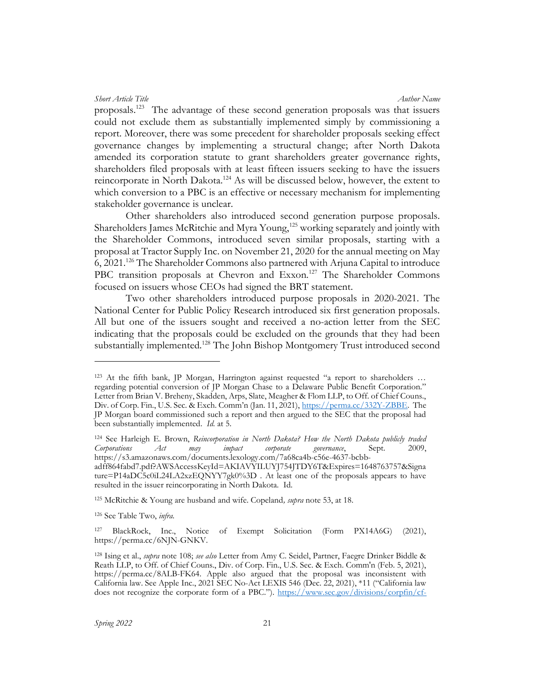Short Article Title Author Name (Author Name Author Name Author Name Author Name Author Name Author Name (Author Name Author Name Author Name Author Name Author Name Author Name Author Name Author Name (Author Name Author

proposals.<sup>123</sup> The advantage of these second generation proposals was that issuers could not exclude them as substantially implemented simply by commissioning a report. Moreover, there was some precedent for shareholder proposals seeking effect governance changes by implementing a structural change; after North Dakota amended its corporation statute to grant shareholders greater governance rights, shareholders filed proposals with at least fifteen issuers seeking to have the issuers reincorporate in North Dakota.<sup>124</sup> As will be discussed below, however, the extent to which conversion to a PBC is an effective or necessary mechanism for implementing stakeholder governance is unclear.

Other shareholders also introduced second generation purpose proposals. Shareholders James McRitchie and Myra Young,<sup>125</sup> working separately and jointly with the Shareholder Commons, introduced seven similar proposals, starting with a proposal at Tractor Supply Inc. on November 21, 2020 for the annual meeting on May 6, 2021.<sup>126</sup> The Shareholder Commons also partnered with Arjuna Capital to introduce PBC transition proposals at Chevron and Exxon.<sup>127</sup> The Shareholder Commons focused on issuers whose CEOs had signed the BRT statement.

Two other shareholders introduced purpose proposals in 2020-2021. The National Center for Public Policy Research introduced six first generation proposals. All but one of the issuers sought and received a no-action letter from the SEC indicating that the proposals could be excluded on the grounds that they had been substantially implemented.<sup>128</sup> The John Bishop Montgomery Trust introduced second

125 McRitchie & Young are husband and wife. Copeland, supra note 53, at 18.

<sup>126</sup> See Table Two, infra.

<sup>127</sup> BlackRock, Inc., Notice of Exempt Solicitation (Form PX14A6G) (2021), https://perma.cc/6NJN-GNKV.

<sup>123</sup> At the fifth bank, JP Morgan, Harrington against requested "a report to shareholders … regarding potential conversion of JP Morgan Chase to a Delaware Public Benefit Corporation." Letter from Brian V. Breheny, Skadden, Arps, Slate, Meagher & Flom LLP, to Off. of Chief Couns., Div. of Corp. Fin., U.S. Sec. & Exch. Comm'n (Jan. 11, 2021), https://perma.cc/332Y-ZBBE. The JP Morgan board commissioned such a report and then argued to the SEC that the proposal had been substantially implemented. *Id.* at 5.

<sup>&</sup>lt;sup>124</sup> See Harleigh E. Brown, Reincorporation in North Dakota? How the North Dakota publicly traded Corporations Act may impact corporate governance, Sept. 2009, https://s3.amazonaws.com/documents.lexology.com/7a68ca4b-c56e-4637-bcbb-

adff864fabd7.pdf?AWSAccessKeyId=AKIAVYILUYJ754JTDY6T&Expires=1648763757&Signa ture=P14aDC5c0iL24LA2xzEQNYY7gk0%3D . At least one of the proposals appears to have resulted in the issuer reincorporating in North Dakota. Id.

<sup>&</sup>lt;sup>128</sup> Ising et al., *supra* note 108; see also Letter from Amy C. Seidel, Partner, Faegre Drinker Biddle & Reath LLP, to Off. of Chief Couns., Div. of Corp. Fin., U.S. Sec. & Exch. Comm'n (Feb. 5, 2021), https://perma.cc/8ALB-FK64. Apple also argued that the proposal was inconsistent with California law. See Apple Inc., 2021 SEC No-Act LEXIS 546 (Dec. 22, 2021), \*11 ("California law does not recognize the corporate form of a PBC."). https://www.sec.gov/divisions/corpfin/cf-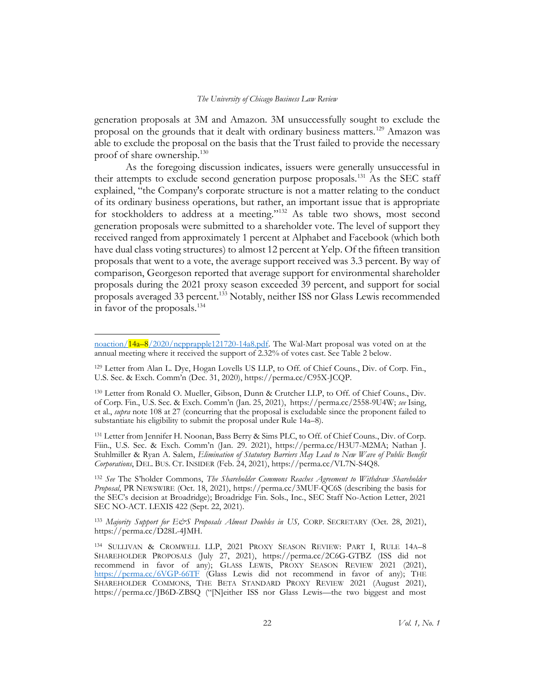generation proposals at 3M and Amazon. 3M unsuccessfully sought to exclude the proposal on the grounds that it dealt with ordinary business matters.<sup>129</sup> Amazon was able to exclude the proposal on the basis that the Trust failed to provide the necessary proof of share ownership.<sup>130</sup>

As the foregoing discussion indicates, issuers were generally unsuccessful in their attempts to exclude second generation purpose proposals.<sup>131</sup> As the SEC staff explained, "the Company's corporate structure is not a matter relating to the conduct of its ordinary business operations, but rather, an important issue that is appropriate for stockholders to address at a meeting."<sup>132</sup> As table two shows, most second generation proposals were submitted to a shareholder vote. The level of support they received ranged from approximately 1 percent at Alphabet and Facebook (which both have dual class voting structures) to almost 12 percent at Yelp. Of the fifteen transition proposals that went to a vote, the average support received was 3.3 percent. By way of comparison, Georgeson reported that average support for environmental shareholder proposals during the 2021 proxy season exceeded 39 percent, and support for social proposals averaged 33 percent.<sup>133</sup> Notably, neither ISS nor Glass Lewis recommended in favor of the proposals.<sup>134</sup>

131 Letter from Jennifer H. Noonan, Bass Berry & Sims PLC, to Off. of Chief Couns., Div. of Corp. Fiin., U.S. Sec. & Exch. Comm'n (Jan. 29. 2021), https://perma.cc/H3U7-M2MA; Nathan J. Stuhlmiller & Ryan A. Salem, Elimination of Statutory Barriers May Lead to New Wave of Public Benefit Corporations, DEL. BUS. CT. INSIDER (Feb. 24, 2021), https://perma.cc/VL7N-S4Q8.

132 See The S'holder Commons, The Shareholder Commons Reaches Agreement to Withdraw Shareholder Proposal, PR NEWSWIRE (Oct. 18, 2021), https://perma.cc/3MUF-QC6S (describing the basis for the SEC's decision at Broadridge); Broadridge Fin. Sols., Inc., SEC Staff No-Action Letter, 2021 SEC NO-ACT. LEXIS 422 (Sept. 22, 2021).

133 Majority Support for E&S Proposals Almost Doubles in US, CORP. SECRETARY (Oct. 28, 2021), https://perma.cc/D28L-4JMH.

noaction/14a–8/2020/ncpprapple121720-14a8.pdf. The Wal-Mart proposal was voted on at the annual meeting where it received the support of 2.32% of votes cast. See Table 2 below.

<sup>129</sup> Letter from Alan L. Dye, Hogan Lovells US LLP, to Off. of Chief Couns., Div. of Corp. Fin., U.S. Sec. & Exch. Comm'n (Dec. 31, 2020), https://perma.cc/C95X-JCQP.

<sup>130</sup> Letter from Ronald O. Mueller, Gibson, Dunn & Crutcher LLP, to Off. of Chief Couns., Div. of Corp. Fin., U.S. Sec. & Exch. Comm'n (Jan. 25, 2021), https://perma.cc/2558-9U4W; see Ising, et al., *supra* note 108 at 27 (concurring that the proposal is excludable since the proponent failed to substantiate his eligibility to submit the proposal under Rule 14a–8).

<sup>134</sup> SULLIVAN & CROMWELL LLP, 2021 PROXY SEASON REVIEW: PART I, RULE 14A–8 SHAREHOLDER PROPOSALS (July 27, 2021), https://perma.cc/2C6G-GTBZ (ISS did not recommend in favor of any); GLASS LEWIS, PROXY SEASON REVIEW 2021 (2021), https://perma.cc/6VGP-66TF (Glass Lewis did not recommend in favor of any); THE SHAREHOLDER COMMONS, THE BETA STANDARD PROXY REVIEW 2021 (August 2021), https://perma.cc/JB6D-ZBSQ ("[N]either ISS nor Glass Lewis—the two biggest and most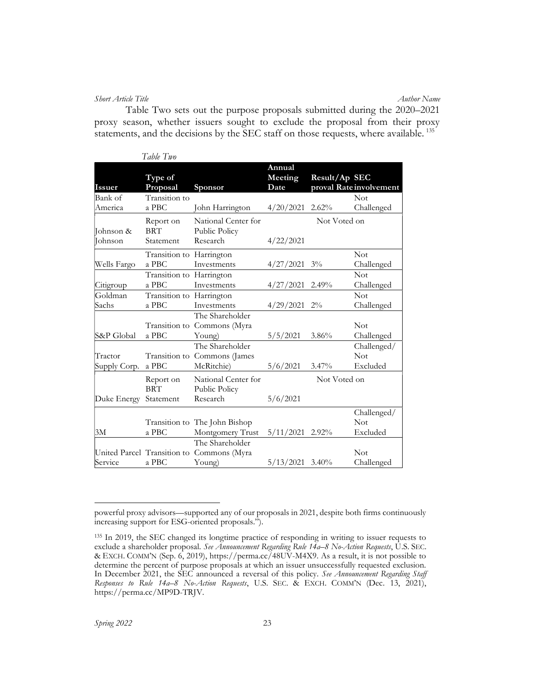#### Short Article Title **Author Name**

Table Two sets out the purpose proposals submitted during the 2020–2021 proxy season, whether issuers sought to exclude the proposal from their proxy statements, and the decisions by the SEC staff on those requests, where available.<sup>135</sup>

|                             | Table Two                            |                                                   |                           |               |                                       |
|-----------------------------|--------------------------------------|---------------------------------------------------|---------------------------|---------------|---------------------------------------|
| <b>Issuer</b>               | Type of<br>Proposal                  | <b>Sponsor</b>                                    | Annual<br>Meeting<br>Date | Result/Ap SEC | proval Rate involvement               |
| Bank of                     | Transition to                        |                                                   |                           |               | Not                                   |
| America                     | a PBC                                | John Harrington                                   | 4/20/2021                 | 2.62%         | Challenged                            |
| Johnson &<br><b>Johnson</b> | Report on<br><b>BRT</b><br>Statement | National Center for<br>Public Policy<br>Research  | 4/22/2021                 | Not Voted on  |                                       |
|                             | Transition to Harrington             |                                                   |                           |               | <b>Not</b>                            |
| Wells Fargo                 | a PBC                                | Investments                                       | 4/27/2021                 | $3\%$         | Challenged                            |
|                             | Transition to Harrington             |                                                   |                           |               | Not                                   |
| Citigroup                   | a PBC                                | Investments                                       | $4/27/2021$ 2.49%         |               | Challenged                            |
| Goldman                     | Transition to Harrington             |                                                   |                           |               | Not                                   |
| Sachs                       | a PBC                                | Investments                                       | 4/29/2021                 | $2\%$         | Challenged                            |
| S&P Global                  | Transition to<br>a PBC               | The Shareholder<br>Commons (Myra<br>Young)        | 5/5/2021                  | 3.86%         | Not<br>Challenged                     |
|                             |                                      | The Shareholder                                   |                           |               | Challenged/                           |
| Tractor                     |                                      | Transition to Commons (James                      |                           |               | Not                                   |
| Supply Corp.                | a PBC                                | McRitchie)                                        | 5/6/2021                  | 3.47%         | Excluded                              |
|                             | Report on<br><b>BRT</b>              | National Center for<br>Public Policy              |                           | Not Voted on  |                                       |
| Duke Energy                 | Statement                            | Research                                          | 5/6/2021                  |               |                                       |
| 3M                          | a PBC                                | Transition to The John Bishop<br>Montgomery Trust | 5/11/2021 2.92%           |               | Challenged/<br><b>Not</b><br>Excluded |
|                             | United Parcel Transition to          | The Shareholder<br>Commons (Myra                  |                           |               | Not                                   |
| Service                     | a PBC                                | Young)                                            | $5/13/2021$ 3.40%         |               | Challenged                            |

powerful proxy advisors—supported any of our proposals in 2021, despite both firms continuously increasing support for ESG-oriented proposals.").

<sup>&</sup>lt;sup>135</sup> In 2019, the SEC changed its longtime practice of responding in writing to issuer requests to exclude a shareholder proposal. See Announcement Regarding Rule 14a-8 No-Action Requests, U.S. SEC. & EXCH. COMM'N (Sep. 6, 2019), https://perma.cc/48UV-M4X9. As a result, it is not possible to determine the percent of purpose proposals at which an issuer unsuccessfully requested exclusion. In December 2021, the SEC announced a reversal of this policy. See Announcement Regarding Staff Responses to Rule 14a-8 No-Action Requests, U.S. SEC. & EXCH. COMM'N (Dec. 13, 2021), https://perma.cc/MP9D-TRJV.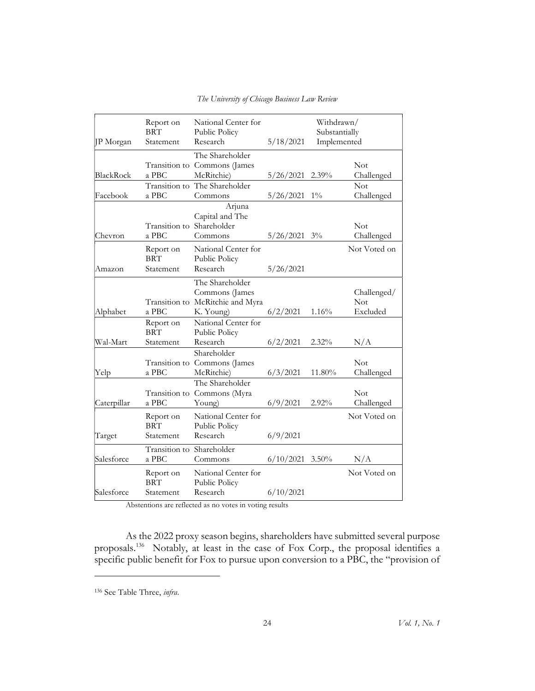|             | Report on                          | National Center for                                       |                   | Withdrawn/    |                           |
|-------------|------------------------------------|-----------------------------------------------------------|-------------------|---------------|---------------------------|
|             | <b>BRT</b>                         | Public Policy                                             |                   | Substantially |                           |
| JP Morgan   | Statement                          | Research                                                  | 5/18/2021         | Implemented   |                           |
|             |                                    | The Shareholder                                           |                   |               |                           |
|             |                                    | Transition to Commons (James                              |                   |               | <b>Not</b>                |
| BlackRock   | a PBC                              | McRitchie)                                                | 5/26/2021         | $2.39\%$      | Challenged                |
|             |                                    | Transition to The Shareholder                             |                   |               | Not                       |
| Facebook    | a PBC                              | Commons                                                   | 5/26/2021         | $1\%$         | Challenged                |
| Chevron     | Transition to Shareholder<br>a PBC | Arjuna<br>Capital and The<br>Commons                      | $5/26/2021$ 3%    |               | <b>Not</b><br>Challenged  |
|             | Report on                          | National Center for                                       |                   |               | Not Voted on              |
|             | <b>BRT</b>                         | Public Policy                                             |                   |               |                           |
| Amazon      | Statement                          | Research                                                  | 5/26/2021         |               |                           |
|             |                                    | The Shareholder                                           |                   |               |                           |
|             |                                    | Commons (James<br>Transition to McRitchie and Myra        |                   |               | Challenged/<br><b>Not</b> |
| Alphabet    | a PBC                              | K. Young)                                                 | 6/2/2021          | 1.16%         | Excluded                  |
|             | Report on<br><b>BRT</b>            | National Center for<br>Public Policy                      |                   |               |                           |
| Wal-Mart    | Statement                          | Research                                                  | 6/2/2021          | 2.32%         | N/A                       |
| Yelp        | a PBC                              | Shareholder<br>Transition to Commons (James<br>McRitchie) | 6/3/2021          | 11.80%        | Not<br>Challenged         |
|             |                                    | The Shareholder                                           |                   |               |                           |
|             |                                    | Transition to Commons (Myra                               |                   |               | <b>Not</b>                |
| Caterpillar | a PBC                              | Young)                                                    | 6/9/2021          | $2.92\%$      | Challenged                |
|             | Report on<br><b>BRT</b>            | National Center for<br>Public Policy                      |                   |               | Not Voted on              |
| Target      | Statement                          | Research                                                  | 6/9/2021          |               |                           |
| Salesforce  | Transition to Shareholder<br>a PBC | Commons                                                   | $6/10/2021$ 3.50% |               | N/A                       |
|             | Report on<br><b>BRT</b>            | National Center for<br>Public Policy                      |                   |               | Not Voted on              |
| Salesforce  | Statement                          | Research                                                  | 6/10/2021         |               |                           |

The University of Chicago Business Law Review

Abstentions are reflected as no votes in voting results

As the 2022 proxy season begins, shareholders have submitted several purpose proposals.<sup>136</sup> Notably, at least in the case of Fox Corp., the proposal identifies a specific public benefit for Fox to pursue upon conversion to a PBC, the "provision of

<sup>136</sup> See Table Three, infra.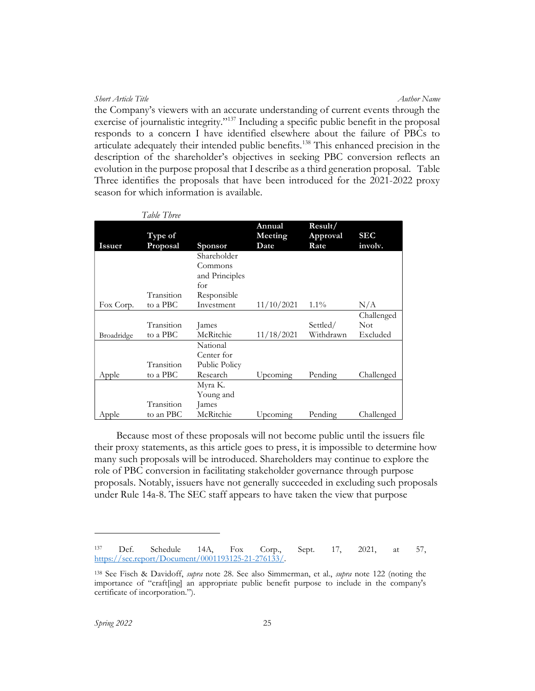Short Article Title Author Name (Author Name Author Name Author Name Author Name the Company's viewers with an accurate understanding of current events through the exercise of journalistic integrity."<sup>137</sup> Including a specific public benefit in the proposal responds to a concern I have identified elsewhere about the failure of PBCs to articulate adequately their intended public benefits.<sup>138</sup> This enhanced precision in the description of the shareholder's objectives in seeking PBC conversion reflects an evolution in the purpose proposal that I describe as a third generation proposal. Table Three identifies the proposals that have been introduced for the 2021-2022 proxy season for which information is available.

|               | <i>Lavie Linee</i>  |                |                           |                             |                       |
|---------------|---------------------|----------------|---------------------------|-----------------------------|-----------------------|
| <b>Issuer</b> | Type of<br>Proposal | <b>Sponsor</b> | Annual<br>Meeting<br>Date | Result/<br>Approval<br>Rate | <b>SEC</b><br>involv. |
|               |                     | Shareholder    |                           |                             |                       |
|               |                     | Commons        |                           |                             |                       |
|               |                     | and Principles |                           |                             |                       |
|               |                     | for            |                           |                             |                       |
|               | Transition          | Responsible    |                           |                             |                       |
| Fox Corp.     | to a PBC            | Investment     | 11/10/2021                | $1.1\%$                     | N/A                   |
|               |                     |                |                           |                             | Challenged            |
|               | Transition          | lames          |                           | Settled/                    | <b>Not</b>            |
| Broadridge    | to a PBC            | McRitchie      | 11/18/2021                | Withdrawn                   | Excluded              |
|               |                     | National       |                           |                             |                       |
|               |                     | Center for     |                           |                             |                       |
|               | Transition          | Public Policy  |                           |                             |                       |
| Apple         | to a PBC            | Research       | Upcoming                  | Pending                     | Challenged            |
|               |                     | Myra K.        |                           |                             |                       |
|               |                     | Young and      |                           |                             |                       |
|               | Transition          | lames          |                           |                             |                       |
| Apple         | to an PBC           | McRitchie      | Upcoming                  | Pending                     | Challenged            |

 $T<sub>ablo</sub> T<sub>h</sub>$ 

Because most of these proposals will not become public until the issuers file their proxy statements, as this article goes to press, it is impossible to determine how many such proposals will be introduced. Shareholders may continue to explore the role of PBC conversion in facilitating stakeholder governance through purpose proposals. Notably, issuers have not generally succeeded in excluding such proposals under Rule 14a-8. The SEC staff appears to have taken the view that purpose

<sup>137</sup> Def. Schedule 14A, Fox Corp., Sept. 17, 2021, at 57, https://sec.report/Document/0001193125-21-276133/.

<sup>&</sup>lt;sup>138</sup> See Fisch & Davidoff, *supra* note 28. See also Simmerman, et al., *supra* note 122 (noting the importance of "craft[ing] an appropriate public benefit purpose to include in the company's certificate of incorporation.").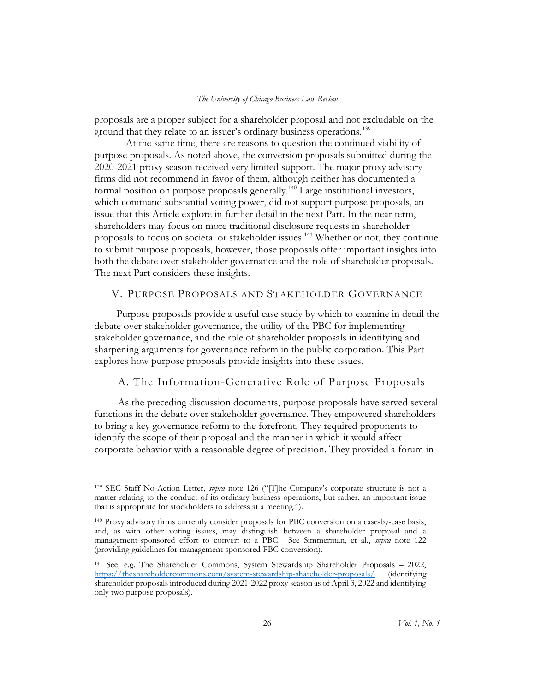proposals are a proper subject for a shareholder proposal and not excludable on the ground that they relate to an issuer's ordinary business operations.<sup>139</sup>

 At the same time, there are reasons to question the continued viability of purpose proposals. As noted above, the conversion proposals submitted during the 2020-2021 proxy season received very limited support. The major proxy advisory firms did not recommend in favor of them, although neither has documented a formal position on purpose proposals generally.<sup>140</sup> Large institutional investors, which command substantial voting power, did not support purpose proposals, an issue that this Article explore in further detail in the next Part. In the near term, shareholders may focus on more traditional disclosure requests in shareholder proposals to focus on societal or stakeholder issues.<sup>141</sup> Whether or not, they continue to submit purpose proposals, however, those proposals offer important insights into both the debate over stakeholder governance and the role of shareholder proposals. The next Part considers these insights.

# V. PURPOSE PROPOSALS AND STAKEHOLDER GOVERNANCE

Purpose proposals provide a useful case study by which to examine in detail the debate over stakeholder governance, the utility of the PBC for implementing stakeholder governance, and the role of shareholder proposals in identifying and sharpening arguments for governance reform in the public corporation. This Part explores how purpose proposals provide insights into these issues.

# A. The Information-Generative Role of Purpose Proposals

As the preceding discussion documents, purpose proposals have served several functions in the debate over stakeholder governance. They empowered shareholders to bring a key governance reform to the forefront. They required proponents to identify the scope of their proposal and the manner in which it would affect corporate behavior with a reasonable degree of precision. They provided a forum in

<sup>&</sup>lt;sup>139</sup> SEC Staff No-Action Letter, *supra* note 126 ("[T]he Company's corporate structure is not a matter relating to the conduct of its ordinary business operations, but rather, an important issue that is appropriate for stockholders to address at a meeting.").

<sup>140</sup> Proxy advisory firms currently consider proposals for PBC conversion on a case-by-case basis, and, as with other voting issues, may distinguish between a shareholder proposal and a management-sponsored effort to convert to a PBC. See Simmerman, et al., *supra* note 122 (providing guidelines for management-sponsored PBC conversion).

<sup>141</sup> See, e.g. The Shareholder Commons, System Stewardship Shareholder Proposals – 2022, https://theshareholdercommons.com/system-stewardship-shareholder-proposals/ (identifying shareholder proposals introduced during 2021-2022 proxy season as of April 3, 2022 and identifying only two purpose proposals).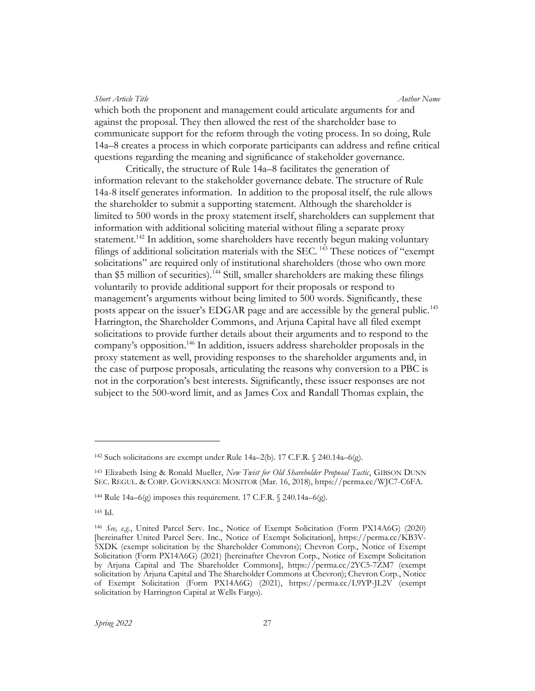which both the proponent and management could articulate arguments for and against the proposal. They then allowed the rest of the shareholder base to communicate support for the reform through the voting process. In so doing, Rule 14a–8 creates a process in which corporate participants can address and refine critical questions regarding the meaning and significance of stakeholder governance.

Critically, the structure of Rule 14a–8 facilitates the generation of information relevant to the stakeholder governance debate. The structure of Rule 14a-8 itself generates information. In addition to the proposal itself, the rule allows the shareholder to submit a supporting statement. Although the shareholder is limited to 500 words in the proxy statement itself, shareholders can supplement that information with additional soliciting material without filing a separate proxy statement.<sup>142</sup> In addition, some shareholders have recently begun making voluntary filings of additional solicitation materials with the SEC.<sup>143</sup> These notices of "exempt solicitations" are required only of institutional shareholders (those who own more than \$5 million of securities).<sup>144</sup> Still, smaller shareholders are making these filings voluntarily to provide additional support for their proposals or respond to management's arguments without being limited to 500 words. Significantly, these posts appear on the issuer's EDGAR page and are accessible by the general public.<sup>145</sup> Harrington, the Shareholder Commons, and Arjuna Capital have all filed exempt solicitations to provide further details about their arguments and to respond to the company's opposition.<sup>146</sup> In addition, issuers address shareholder proposals in the proxy statement as well, providing responses to the shareholder arguments and, in the case of purpose proposals, articulating the reasons why conversion to a PBC is not in the corporation's best interests. Significantly, these issuer responses are not subject to the 500-word limit, and as James Cox and Randall Thomas explain, the

<sup>&</sup>lt;sup>142</sup> Such solicitations are exempt under Rule 14a–2(b). 17 C.F.R.  $\%$  240.14a–6(g).

<sup>&</sup>lt;sup>143</sup> Elizabeth Ising & Ronald Mueller, New Twist for Old Shareholder Proposal Tactic, GIBSON DUNN SEC. REGUL. & CORP. GOVERNANCE MONITOR (Mar. 16, 2018), https://perma.cc/WJC7-C6FA.

<sup>&</sup>lt;sup>144</sup> Rule 14a–6(g) imposes this requirement. 17 C.F.R.  $\sqrt{240.14a}$ –6(g).

<sup>145</sup> Id.

<sup>146</sup> See, e.g., United Parcel Serv. Inc., Notice of Exempt Solicitation (Form PX14A6G) (2020) [hereinafter United Parcel Serv. Inc., Notice of Exempt Solicitation], https://perma.cc/KB3V-5XDK (exempt solicitation by the Shareholder Commons); Chevron Corp., Notice of Exempt Solicitation (Form PX14A6G) (2021) [hereinafter Chevron Corp., Notice of Exempt Solicitation by Arjuna Capital and The Shareholder Commons], https://perma.cc/2YC5-7ZM7 (exempt solicitation by Arjuna Capital and The Shareholder Commons at Chevron); Chevron Corp., Notice of Exempt Solicitation (Form PX14A6G) (2021), https://perma.cc/L9YP-JL2V (exempt solicitation by Harrington Capital at Wells Fargo).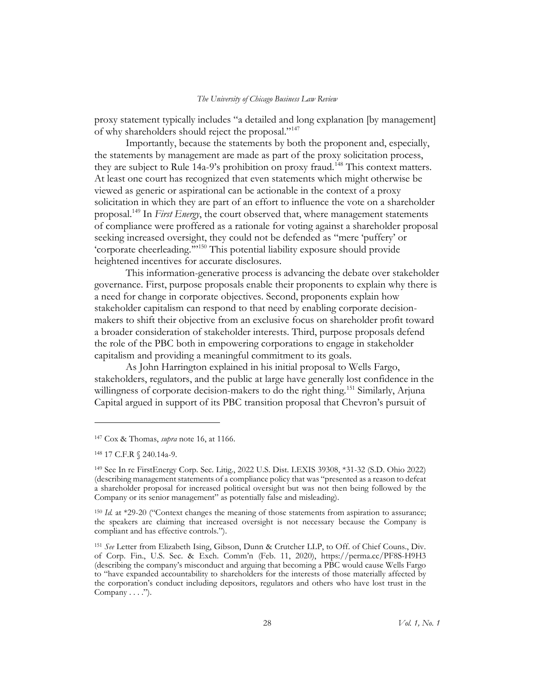proxy statement typically includes "a detailed and long explanation [by management] of why shareholders should reject the proposal."<sup>147</sup>

Importantly, because the statements by both the proponent and, especially, the statements by management are made as part of the proxy solicitation process, they are subject to Rule 14a-9's prohibition on proxy fraud.<sup>148</sup> This context matters. At least one court has recognized that even statements which might otherwise be viewed as generic or aspirational can be actionable in the context of a proxy solicitation in which they are part of an effort to influence the vote on a shareholder proposal.<sup>149</sup> In First Energy, the court observed that, where management statements of compliance were proffered as a rationale for voting against a shareholder proposal seeking increased oversight, they could not be defended as "mere 'puffery' or 'corporate cheerleading.'"<sup>150</sup> This potential liability exposure should provide heightened incentives for accurate disclosures.

This information-generative process is advancing the debate over stakeholder governance. First, purpose proposals enable their proponents to explain why there is a need for change in corporate objectives. Second, proponents explain how stakeholder capitalism can respond to that need by enabling corporate decisionmakers to shift their objective from an exclusive focus on shareholder profit toward a broader consideration of stakeholder interests. Third, purpose proposals defend the role of the PBC both in empowering corporations to engage in stakeholder capitalism and providing a meaningful commitment to its goals.

As John Harrington explained in his initial proposal to Wells Fargo, stakeholders, regulators, and the public at large have generally lost confidence in the willingness of corporate decision-makers to do the right thing.<sup>151</sup> Similarly, Arjuna Capital argued in support of its PBC transition proposal that Chevron's pursuit of

<sup>&</sup>lt;sup>147</sup> Cox & Thomas, *supra* note 16, at 1166.

<sup>148</sup> 17 C.F.R § 240.14a-9.

<sup>149</sup> See In re FirstEnergy Corp. Sec. Litig., 2022 U.S. Dist. LEXIS 39308, \*31-32 (S.D. Ohio 2022) (describing management statements of a compliance policy that was "presented as a reason to defeat a shareholder proposal for increased political oversight but was not then being followed by the Company or its senior management" as potentially false and misleading).

<sup>&</sup>lt;sup>150</sup> Id. at \*29-20 ("Context changes the meaning of those statements from aspiration to assurance; the speakers are claiming that increased oversight is not necessary because the Company is compliant and has effective controls.").

<sup>151</sup> See Letter from Elizabeth Ising, Gibson, Dunn & Crutcher LLP, to Off. of Chief Couns., Div. of Corp. Fin., U.S. Sec. & Exch. Comm'n (Feb. 11, 2020), https://perma.cc/PF8S-H9H3 (describing the company's misconduct and arguing that becoming a PBC would cause Wells Fargo to "have expanded accountability to shareholders for the interests of those materially affected by the corporation's conduct including depositors, regulators and others who have lost trust in the Company  $\dots$ .").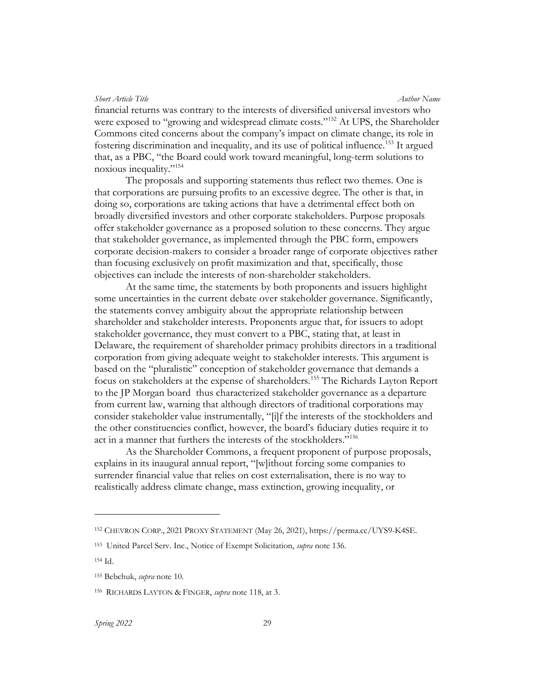financial returns was contrary to the interests of diversified universal investors who were exposed to "growing and widespread climate costs."<sup>152</sup> At UPS, the Shareholder Commons cited concerns about the company's impact on climate change, its role in fostering discrimination and inequality, and its use of political influence.<sup>153</sup> It argued that, as a PBC, "the Board could work toward meaningful, long-term solutions to noxious inequality."<sup>154</sup>

The proposals and supporting statements thus reflect two themes. One is that corporations are pursuing profits to an excessive degree. The other is that, in doing so, corporations are taking actions that have a detrimental effect both on broadly diversified investors and other corporate stakeholders. Purpose proposals offer stakeholder governance as a proposed solution to these concerns. They argue that stakeholder governance, as implemented through the PBC form, empowers corporate decision-makers to consider a broader range of corporate objectives rather than focusing exclusively on profit maximization and that, specifically, those objectives can include the interests of non-shareholder stakeholders.

At the same time, the statements by both proponents and issuers highlight some uncertainties in the current debate over stakeholder governance. Significantly, the statements convey ambiguity about the appropriate relationship between shareholder and stakeholder interests. Proponents argue that, for issuers to adopt stakeholder governance, they must convert to a PBC, stating that, at least in Delaware, the requirement of shareholder primacy prohibits directors in a traditional corporation from giving adequate weight to stakeholder interests. This argument is based on the "pluralistic" conception of stakeholder governance that demands a focus on stakeholders at the expense of shareholders.<sup>155</sup> The Richards Layton Report to the JP Morgan board thus characterized stakeholder governance as a departure from current law, warning that although directors of traditional corporations may consider stakeholder value instrumentally, "[i]f the interests of the stockholders and the other constituencies conflict, however, the board's fiduciary duties require it to act in a manner that furthers the interests of the stockholders."<sup>156</sup>

As the Shareholder Commons, a frequent proponent of purpose proposals, explains in its inaugural annual report, "[w]ithout forcing some companies to surrender financial value that relies on cost externalisation, there is no way to realistically address climate change, mass extinction, growing inequality, or

<sup>152</sup> CHEVRON CORP., 2021 PROXY STATEMENT (May 26, 2021), https://perma.cc/UYS9-K4SE.

<sup>&</sup>lt;sup>153</sup> United Parcel Serv. Inc., Notice of Exempt Solicitation, *supra* note 136.

<sup>154</sup> Id.

<sup>155</sup> Bebchuk, supra note 10.

<sup>156</sup> RICHARDS LAYTON & FINGER, *supra* note 118, at 3.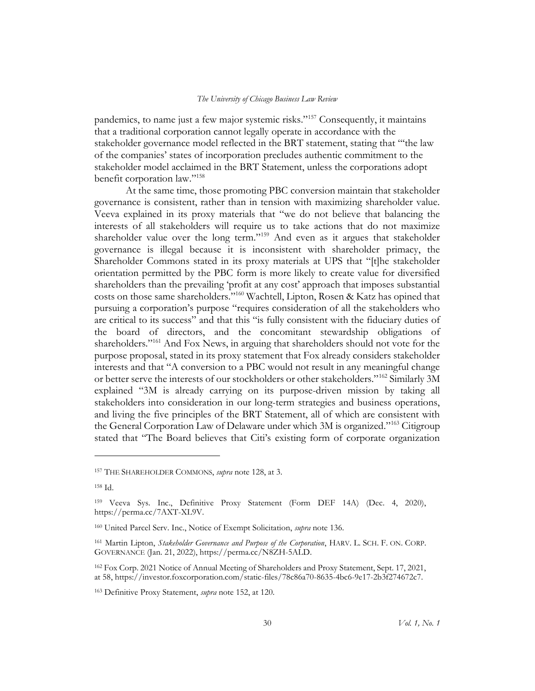pandemics, to name just a few major systemic risks."<sup>157</sup> Consequently, it maintains that a traditional corporation cannot legally operate in accordance with the stakeholder governance model reflected in the BRT statement, stating that "'the law of the companies' states of incorporation precludes authentic commitment to the stakeholder model acclaimed in the BRT Statement, unless the corporations adopt benefit corporation law."<sup>158</sup>

At the same time, those promoting PBC conversion maintain that stakeholder governance is consistent, rather than in tension with maximizing shareholder value. Veeva explained in its proxy materials that "we do not believe that balancing the interests of all stakeholders will require us to take actions that do not maximize shareholder value over the long term."<sup>159</sup> And even as it argues that stakeholder governance is illegal because it is inconsistent with shareholder primacy, the Shareholder Commons stated in its proxy materials at UPS that "[t]he stakeholder orientation permitted by the PBC form is more likely to create value for diversified shareholders than the prevailing 'profit at any cost' approach that imposes substantial costs on those same shareholders."<sup>160</sup> Wachtell, Lipton, Rosen & Katz has opined that pursuing a corporation's purpose "requires consideration of all the stakeholders who are critical to its success" and that this "is fully consistent with the fiduciary duties of the board of directors, and the concomitant stewardship obligations of shareholders."<sup>161</sup> And Fox News, in arguing that shareholders should not vote for the purpose proposal, stated in its proxy statement that Fox already considers stakeholder interests and that "A conversion to a PBC would not result in any meaningful change or better serve the interests of our stockholders or other stakeholders."<sup>162</sup> Similarly 3M explained "3M is already carrying on its purpose-driven mission by taking all stakeholders into consideration in our long-term strategies and business operations, and living the five principles of the BRT Statement, all of which are consistent with the General Corporation Law of Delaware under which 3M is organized."<sup>163</sup> Citigroup stated that "The Board believes that Citi's existing form of corporate organization

<sup>&</sup>lt;sup>157</sup> THE SHAREHOLDER COMMONS, *supra* note 128, at 3.

<sup>158</sup> Id.

<sup>159</sup> Veeva Sys. Inc., Definitive Proxy Statement (Form DEF 14A) (Dec. 4, 2020), https://perma.cc/7AXT-XL9V.

<sup>&</sup>lt;sup>160</sup> United Parcel Serv. Inc., Notice of Exempt Solicitation, *supra* note 136.

<sup>161</sup> Martin Lipton, Stakeholder Governance and Purpose of the Corporation, HARV. L. SCH. F. ON. CORP. GOVERNANCE (Jan. 21, 2022), https://perma.cc/N8ZH-5ALD.

<sup>162</sup> Fox Corp. 2021 Notice of Annual Meeting of Shareholders and Proxy Statement, Sept. 17, 2021, at 58, https://investor.foxcorporation.com/static-files/78c86a70-8635-4bc6-9e17-2b3f274672c7.

<sup>&</sup>lt;sup>163</sup> Definitive Proxy Statement, *supra* note 152, at 120.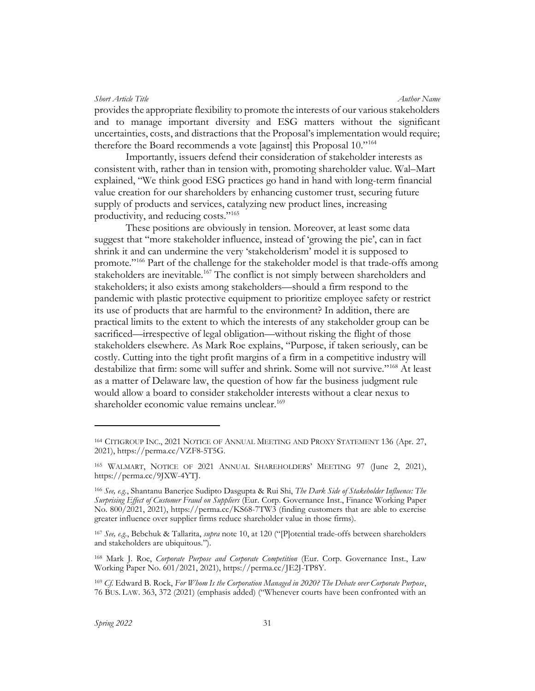provides the appropriate flexibility to promote the interests of our various stakeholders and to manage important diversity and ESG matters without the significant uncertainties, costs, and distractions that the Proposal's implementation would require; therefore the Board recommends a vote [against] this Proposal 10."<sup>164</sup>

Importantly, issuers defend their consideration of stakeholder interests as consistent with, rather than in tension with, promoting shareholder value. Wal–Mart explained, "We think good ESG practices go hand in hand with long-term financial value creation for our shareholders by enhancing customer trust, securing future supply of products and services, catalyzing new product lines, increasing productivity, and reducing costs."<sup>165</sup>

These positions are obviously in tension. Moreover, at least some data suggest that "more stakeholder influence, instead of 'growing the pie', can in fact shrink it and can undermine the very 'stakeholderism' model it is supposed to promote."<sup>166</sup> Part of the challenge for the stakeholder model is that trade-offs among stakeholders are inevitable.<sup>167</sup> The conflict is not simply between shareholders and stakeholders; it also exists among stakeholders—should a firm respond to the pandemic with plastic protective equipment to prioritize employee safety or restrict its use of products that are harmful to the environment? In addition, there are practical limits to the extent to which the interests of any stakeholder group can be sacrificed—irrespective of legal obligation—without risking the flight of those stakeholders elsewhere. As Mark Roe explains, "Purpose, if taken seriously, can be costly. Cutting into the tight profit margins of a firm in a competitive industry will destabilize that firm: some will suffer and shrink. Some will not survive."<sup>168</sup> At least as a matter of Delaware law, the question of how far the business judgment rule would allow a board to consider stakeholder interests without a clear nexus to shareholder economic value remains unclear.<sup>169</sup>

<sup>164</sup> CITIGROUP INC., 2021 NOTICE OF ANNUAL MEETING AND PROXY STATEMENT 136 (Apr. 27, 2021), https://perma.cc/VZF8-5T5G.

<sup>165</sup> WALMART, NOTICE OF 2021 ANNUAL SHAREHOLDERS' MEETING 97 (June 2, 2021), https://perma.cc/9JXW-4YTJ.

<sup>166</sup> See, e.g., Shantanu Banerjee Sudipto Dasgupta & Rui Shi, The Dark Side of Stakeholder Influence: The Surprising Effect of Customer Fraud on Suppliers (Eur. Corp. Governance Inst., Finance Working Paper No. 800/2021, 2021), https://perma.cc/KS68-7TW3 (finding customers that are able to exercise greater influence over supplier firms reduce shareholder value in those firms).

<sup>&</sup>lt;sup>167</sup> See, e.g., Bebchuk & Tallarita, *supra* note 10, at 120 ("[P]otential trade-offs between shareholders and stakeholders are ubiquitous.").

<sup>&</sup>lt;sup>168</sup> Mark J. Roe, Corporate Purpose and Corporate Competition (Eur. Corp. Governance Inst., Law Working Paper No. 601/2021, 2021), https://perma.cc/JE2J-TP8Y.

<sup>169</sup> Cf. Edward B. Rock, For Whom Is the Corporation Managed in 2020? The Debate over Corporate Purpose, 76 BUS. LAW. 363, 372 (2021) (emphasis added) ("Whenever courts have been confronted with an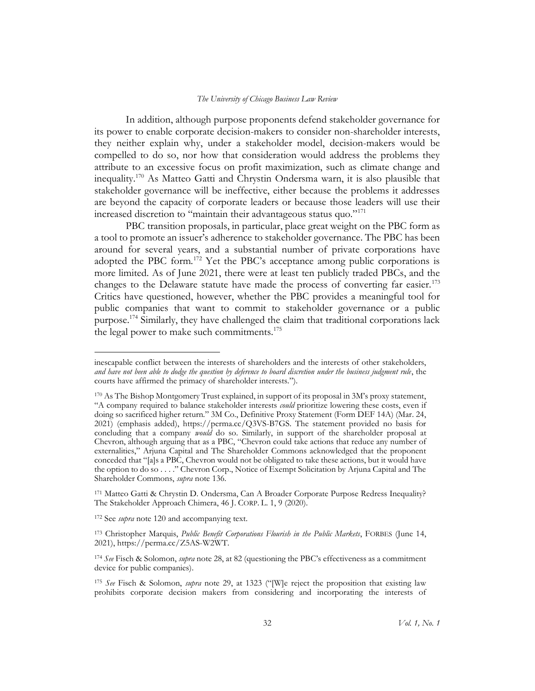In addition, although purpose proponents defend stakeholder governance for its power to enable corporate decision-makers to consider non-shareholder interests, they neither explain why, under a stakeholder model, decision-makers would be compelled to do so, nor how that consideration would address the problems they attribute to an excessive focus on profit maximization, such as climate change and inequality.<sup>170</sup> As Matteo Gatti and Chrystin Ondersma warn, it is also plausible that stakeholder governance will be ineffective, either because the problems it addresses are beyond the capacity of corporate leaders or because those leaders will use their increased discretion to "maintain their advantageous status quo."<sup>171</sup>

PBC transition proposals, in particular, place great weight on the PBC form as a tool to promote an issuer's adherence to stakeholder governance. The PBC has been around for several years, and a substantial number of private corporations have adopted the PBC form.<sup>172</sup> Yet the PBC's acceptance among public corporations is more limited. As of June 2021, there were at least ten publicly traded PBCs, and the changes to the Delaware statute have made the process of converting far easier.<sup>173</sup> Critics have questioned, however, whether the PBC provides a meaningful tool for public companies that want to commit to stakeholder governance or a public purpose.<sup>174</sup> Similarly, they have challenged the claim that traditional corporations lack the legal power to make such commitments.<sup>175</sup>

<sup>172</sup> See *supra* note 120 and accompanying text.

<sup>173</sup> Christopher Marquis, *Public Benefit Corporations Flourish in the Public Markets*, FORBES (June 14, 2021), https://perma.cc/Z5AS-W2WT.

inescapable conflict between the interests of shareholders and the interests of other stakeholders, and have not been able to dodge the question by deference to board discretion under the business judgment rule, the courts have affirmed the primacy of shareholder interests.").

<sup>170</sup> As The Bishop Montgomery Trust explained, in support of its proposal in 3M's proxy statement, "A company required to balance stakeholder interests *could* prioritize lowering these costs, even if doing so sacrificed higher return." 3M Co., Definitive Proxy Statement (Form DEF 14A) (Mar. 24, 2021) (emphasis added), https://perma.cc/Q3VS-B7GS. The statement provided no basis for concluding that a company *would* do so. Similarly, in support of the shareholder proposal at Chevron, although arguing that as a PBC, "Chevron could take actions that reduce any number of externalities," Arjuna Capital and The Shareholder Commons acknowledged that the proponent conceded that "[a]s a PBC, Chevron would not be obligated to take these actions, but it would have the option to do so . . . ." Chevron Corp., Notice of Exempt Solicitation by Arjuna Capital and The Shareholder Commons, supra note 136.

<sup>171</sup> Matteo Gatti & Chrystin D. Ondersma, Can A Broader Corporate Purpose Redress Inequality? The Stakeholder Approach Chimera, 46 J. CORP. L. 1, 9 (2020).

<sup>&</sup>lt;sup>174</sup> See Fisch & Solomon, *supra* note 28, at 82 (questioning the PBC's effectiveness as a commitment device for public companies).

<sup>&</sup>lt;sup>175</sup> See Fisch & Solomon, *supra* note 29, at 1323 ("[W]e reject the proposition that existing law prohibits corporate decision makers from considering and incorporating the interests of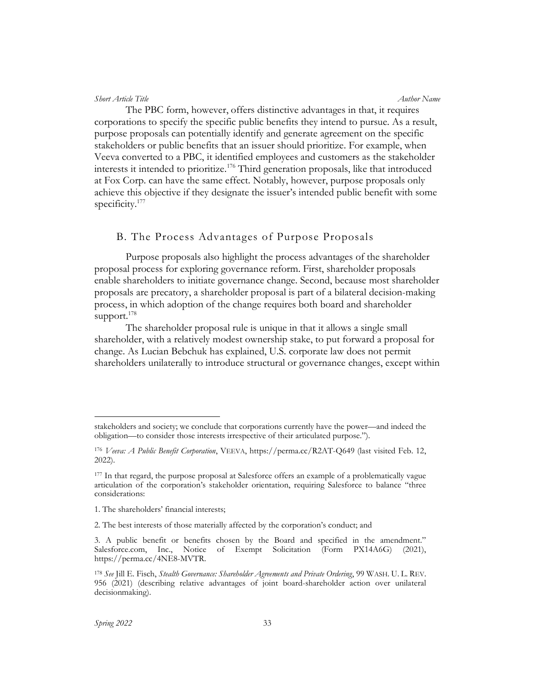The PBC form, however, offers distinctive advantages in that, it requires corporations to specify the specific public benefits they intend to pursue. As a result, purpose proposals can potentially identify and generate agreement on the specific stakeholders or public benefits that an issuer should prioritize. For example, when Veeva converted to a PBC, it identified employees and customers as the stakeholder interests it intended to prioritize.<sup>176</sup> Third generation proposals, like that introduced at Fox Corp. can have the same effect. Notably, however, purpose proposals only achieve this objective if they designate the issuer's intended public benefit with some specificity.<sup>177</sup>

# B. The Process Advantages of Purpose Proposals

Purpose proposals also highlight the process advantages of the shareholder proposal process for exploring governance reform. First, shareholder proposals enable shareholders to initiate governance change. Second, because most shareholder proposals are precatory, a shareholder proposal is part of a bilateral decision-making process, in which adoption of the change requires both board and shareholder support. $178$ 

The shareholder proposal rule is unique in that it allows a single small shareholder, with a relatively modest ownership stake, to put forward a proposal for change. As Lucian Bebchuk has explained, U.S. corporate law does not permit shareholders unilaterally to introduce structural or governance changes, except within

stakeholders and society; we conclude that corporations currently have the power—and indeed the obligation—to consider those interests irrespective of their articulated purpose.").

<sup>176</sup> Veeva: A Public Benefit Corporation, VEEVA, https://perma.cc/R2AT-Q649 (last visited Feb. 12, 2022).

<sup>177</sup> In that regard, the purpose proposal at Salesforce offers an example of a problematically vague articulation of the corporation's stakeholder orientation, requiring Salesforce to balance "three considerations:

<sup>1.</sup> The shareholders' financial interests;

<sup>2.</sup> The best interests of those materially affected by the corporation's conduct; and

<sup>3.</sup> A public benefit or benefits chosen by the Board and specified in the amendment." Salesforce.com, Inc., Notice of Exempt Solicitation (Form PX14A6G) (2021), https://perma.cc/4NE8-MVTR.

<sup>178</sup> See Jill E. Fisch, Stealth Governance: Shareholder Agreements and Private Ordering, 99 WASH. U. L. REV. 956 (2021) (describing relative advantages of joint board-shareholder action over unilateral decisionmaking).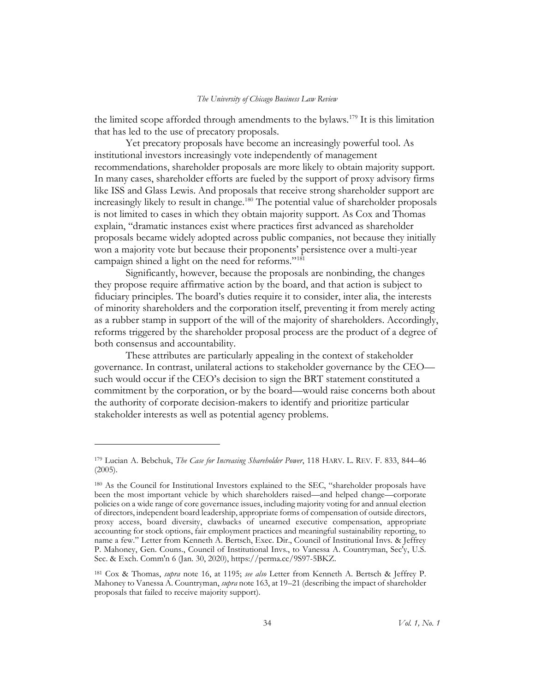the limited scope afforded through amendments to the bylaws.<sup>179</sup> It is this limitation that has led to the use of precatory proposals.

Yet precatory proposals have become an increasingly powerful tool. As institutional investors increasingly vote independently of management recommendations, shareholder proposals are more likely to obtain majority support. In many cases, shareholder efforts are fueled by the support of proxy advisory firms like ISS and Glass Lewis. And proposals that receive strong shareholder support are increasingly likely to result in change.<sup>180</sup> The potential value of shareholder proposals is not limited to cases in which they obtain majority support. As Cox and Thomas explain, "dramatic instances exist where practices first advanced as shareholder proposals became widely adopted across public companies, not because they initially won a majority vote but because their proponents' persistence over a multi-year campaign shined a light on the need for reforms."<sup>181</sup>

Significantly, however, because the proposals are nonbinding, the changes they propose require affirmative action by the board, and that action is subject to fiduciary principles. The board's duties require it to consider, inter alia, the interests of minority shareholders and the corporation itself, preventing it from merely acting as a rubber stamp in support of the will of the majority of shareholders. Accordingly, reforms triggered by the shareholder proposal process are the product of a degree of both consensus and accountability.

These attributes are particularly appealing in the context of stakeholder governance. In contrast, unilateral actions to stakeholder governance by the CEO such would occur if the CEO's decision to sign the BRT statement constituted a commitment by the corporation, or by the board—would raise concerns both about the authority of corporate decision-makers to identify and prioritize particular stakeholder interests as well as potential agency problems.

<sup>179</sup> Lucian A. Bebchuk, The Case for Increasing Shareholder Power, 118 HARV. L. REV. F. 833, 844-46 (2005).

<sup>180</sup> As the Council for Institutional Investors explained to the SEC, "shareholder proposals have been the most important vehicle by which shareholders raised—and helped change—corporate policies on a wide range of core governance issues, including majority voting for and annual election of directors, independent board leadership, appropriate forms of compensation of outside directors, proxy access, board diversity, clawbacks of unearned executive compensation, appropriate accounting for stock options, fair employment practices and meaningful sustainability reporting, to name a few." Letter from Kenneth A. Bertsch, Exec. Dir., Council of Institutional Invs. & Jeffrey P. Mahoney, Gen. Couns., Council of Institutional Invs., to Vanessa A. Countryman, Sec'y, U.S. Sec. & Exch. Comm'n 6 (Jan. 30, 2020), https://perma.cc/9S97-5BKZ.

<sup>181</sup> Cox & Thomas, *supra* note 16, at 1195; see also Letter from Kenneth A. Bertsch & Jeffrey P. Mahoney to Vanessa A. Countryman, *supra* note 163, at 19–21 (describing the impact of shareholder proposals that failed to receive majority support).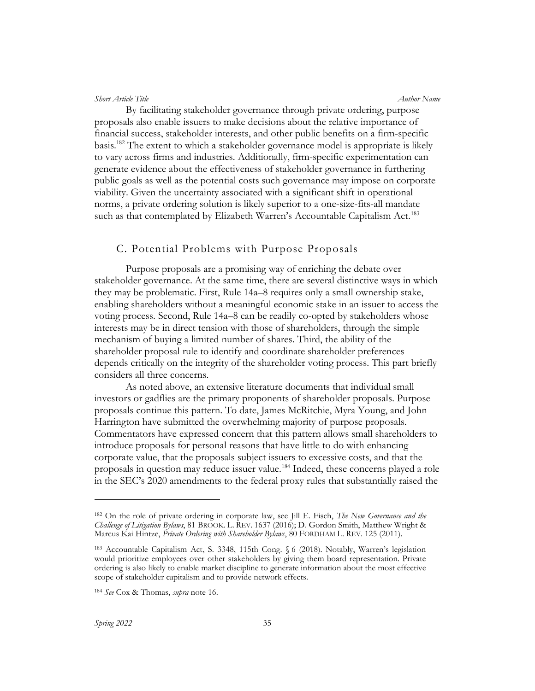By facilitating stakeholder governance through private ordering, purpose proposals also enable issuers to make decisions about the relative importance of financial success, stakeholder interests, and other public benefits on a firm-specific basis.<sup>182</sup> The extent to which a stakeholder governance model is appropriate is likely to vary across firms and industries. Additionally, firm-specific experimentation can generate evidence about the effectiveness of stakeholder governance in furthering public goals as well as the potential costs such governance may impose on corporate viability. Given the uncertainty associated with a significant shift in operational norms, a private ordering solution is likely superior to a one-size-fits-all mandate such as that contemplated by Elizabeth Warren's Accountable Capitalism Act.<sup>183</sup>

## C. Potential Problems with Purpose Proposals

Purpose proposals are a promising way of enriching the debate over stakeholder governance. At the same time, there are several distinctive ways in which they may be problematic. First, Rule 14a–8 requires only a small ownership stake, enabling shareholders without a meaningful economic stake in an issuer to access the voting process. Second, Rule 14a–8 can be readily co-opted by stakeholders whose interests may be in direct tension with those of shareholders, through the simple mechanism of buying a limited number of shares. Third, the ability of the shareholder proposal rule to identify and coordinate shareholder preferences depends critically on the integrity of the shareholder voting process. This part briefly considers all three concerns.

As noted above, an extensive literature documents that individual small investors or gadflies are the primary proponents of shareholder proposals. Purpose proposals continue this pattern. To date, James McRitchie, Myra Young, and John Harrington have submitted the overwhelming majority of purpose proposals. Commentators have expressed concern that this pattern allows small shareholders to introduce proposals for personal reasons that have little to do with enhancing corporate value, that the proposals subject issuers to excessive costs, and that the proposals in question may reduce issuer value.<sup>184</sup> Indeed, these concerns played a role in the SEC's 2020 amendments to the federal proxy rules that substantially raised the

<sup>&</sup>lt;sup>182</sup> On the role of private ordering in corporate law, see Jill E. Fisch, *The New Governance and the* Challenge of Litigation Bylaws, 81 BROOK. L. REV. 1637 (2016); D. Gordon Smith, Matthew Wright & Marcus Kai Hintze, Private Ordering with Shareholder Bylaws, 80 FORDHAM L. REV. 125 (2011).

<sup>183</sup> Accountable Capitalism Act, S. 3348, 115th Cong. § 6 (2018). Notably, Warren's legislation would prioritize employees over other stakeholders by giving them board representation. Private ordering is also likely to enable market discipline to generate information about the most effective scope of stakeholder capitalism and to provide network effects.

<sup>184</sup> See Cox & Thomas, supra note 16.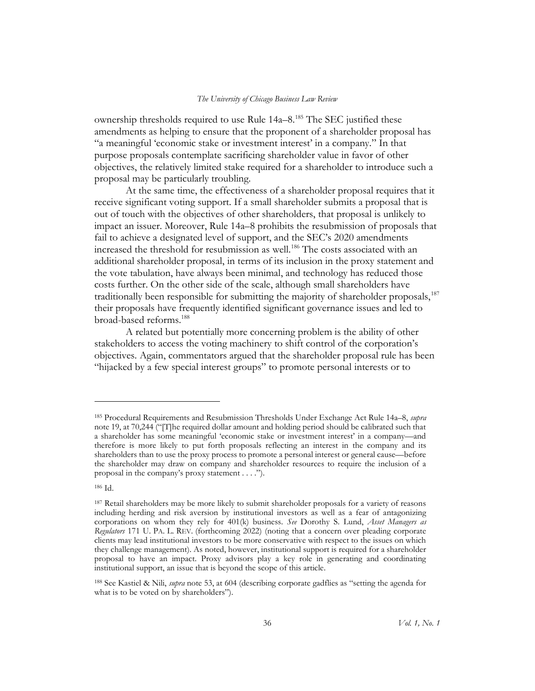ownership thresholds required to use Rule 14a–8.<sup>185</sup> The SEC justified these amendments as helping to ensure that the proponent of a shareholder proposal has "a meaningful 'economic stake or investment interest' in a company." In that purpose proposals contemplate sacrificing shareholder value in favor of other objectives, the relatively limited stake required for a shareholder to introduce such a proposal may be particularly troubling.

At the same time, the effectiveness of a shareholder proposal requires that it receive significant voting support. If a small shareholder submits a proposal that is out of touch with the objectives of other shareholders, that proposal is unlikely to impact an issuer. Moreover, Rule 14a–8 prohibits the resubmission of proposals that fail to achieve a designated level of support, and the SEC's 2020 amendments increased the threshold for resubmission as well.<sup>186</sup> The costs associated with an additional shareholder proposal, in terms of its inclusion in the proxy statement and the vote tabulation, have always been minimal, and technology has reduced those costs further. On the other side of the scale, although small shareholders have traditionally been responsible for submitting the majority of shareholder proposals,<sup>187</sup> their proposals have frequently identified significant governance issues and led to broad-based reforms.<sup>188</sup>

A related but potentially more concerning problem is the ability of other stakeholders to access the voting machinery to shift control of the corporation's objectives. Again, commentators argued that the shareholder proposal rule has been "hijacked by a few special interest groups" to promote personal interests or to

<sup>&</sup>lt;sup>185</sup> Procedural Requirements and Resubmission Thresholds Under Exchange Act Rule 14a–8, *supra* note 19, at 70,244 ("[T]he required dollar amount and holding period should be calibrated such that a shareholder has some meaningful 'economic stake or investment interest' in a company—and therefore is more likely to put forth proposals reflecting an interest in the company and its shareholders than to use the proxy process to promote a personal interest or general cause—before the shareholder may draw on company and shareholder resources to require the inclusion of a proposal in the company's proxy statement . . . .").

<sup>186</sup> Id.

<sup>187</sup> Retail shareholders may be more likely to submit shareholder proposals for a variety of reasons including herding and risk aversion by institutional investors as well as a fear of antagonizing corporations on whom they rely for 401(k) business. See Dorothy S. Lund, Asset Managers as Regulators 171 U. PA. L. REV. (forthcoming 2022) (noting that a concern over pleading corporate clients may lead institutional investors to be more conservative with respect to the issues on which they challenge management). As noted, however, institutional support is required for a shareholder proposal to have an impact. Proxy advisors play a key role in generating and coordinating institutional support, an issue that is beyond the scope of this article.

<sup>188</sup> See Kastiel & Nili, *supra* note 53, at 604 (describing corporate gadflies as "setting the agenda for what is to be voted on by shareholders".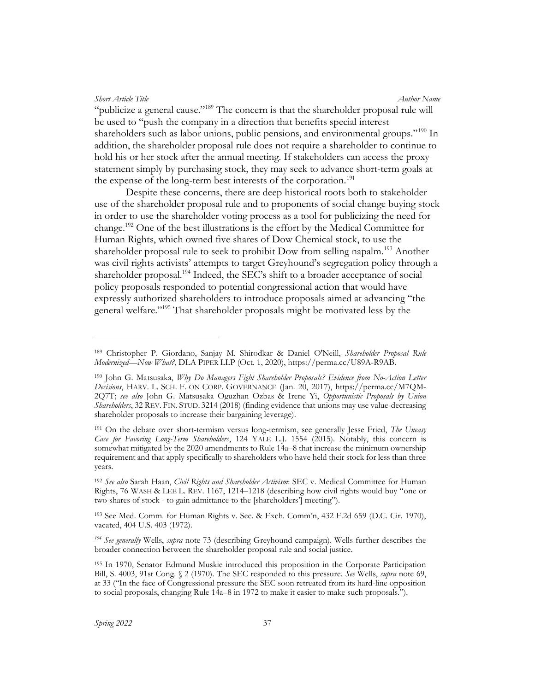"publicize a general cause."<sup>189</sup> The concern is that the shareholder proposal rule will be used to "push the company in a direction that benefits special interest shareholders such as labor unions, public pensions, and environmental groups."<sup>190</sup> In addition, the shareholder proposal rule does not require a shareholder to continue to hold his or her stock after the annual meeting. If stakeholders can access the proxy statement simply by purchasing stock, they may seek to advance short-term goals at the expense of the long-term best interests of the corporation.<sup>191</sup>

Despite these concerns, there are deep historical roots both to stakeholder use of the shareholder proposal rule and to proponents of social change buying stock in order to use the shareholder voting process as a tool for publicizing the need for change.<sup>192</sup> One of the best illustrations is the effort by the Medical Committee for Human Rights, which owned five shares of Dow Chemical stock, to use the shareholder proposal rule to seek to prohibit Dow from selling napalm.<sup>193</sup> Another was civil rights activists' attempts to target Greyhound's segregation policy through a shareholder proposal.<sup>194</sup> Indeed, the SEC's shift to a broader acceptance of social policy proposals responded to potential congressional action that would have expressly authorized shareholders to introduce proposals aimed at advancing "the general welfare."<sup>195</sup> That shareholder proposals might be motivated less by the

<sup>193</sup> See Med. Comm. for Human Rights v. Sec. & Exch. Comm'n, 432 F.2d 659 (D.C. Cir. 1970), vacated, 404 U.S. 403 (1972).

 $194$  See generally Wells, supra note 73 (describing Greyhound campaign). Wells further describes the broader connection between the shareholder proposal rule and social justice.

<sup>189</sup> Christopher P. Giordano, Sanjay M. Shirodkar & Daniel O'Neill, Shareholder Proposal Rule Modernized—Now What?, DLA PIPER LLP (Oct. 1, 2020), https://perma.cc/U89A-R9AB.

<sup>&</sup>lt;sup>190</sup> John G. Matsusaka, Why Do Managers Fight Shareholder Proposals? Evidence from No-Action Letter Decisions, HARV. L. SCH. F. ON CORP. GOVERNANCE (Jan. 20, 2017), https://perma.cc/M7QM-2Q7T; see also John G. Matsusaka Oguzhan Ozbas & Irene Yi, Opportunistic Proposals by Union Shareholders, 32 REV. FIN. STUD. 3214 (2018) (finding evidence that unions may use value-decreasing shareholder proposals to increase their bargaining leverage).

<sup>&</sup>lt;sup>191</sup> On the debate over short-termism versus long-termism, see generally Jesse Fried, *The Uneasy* Case for Favoring Long-Term Shareholders, 124 YALE L.J. 1554 (2015). Notably, this concern is somewhat mitigated by the 2020 amendments to Rule 14a–8 that increase the minimum ownership requirement and that apply specifically to shareholders who have held their stock for less than three years.

<sup>&</sup>lt;sup>192</sup> See also Sarah Haan, Civil Rights and Shareholder Activism: SEC v. Medical Committee for Human Rights, 76 WASH & LEE L. REV. 1167, 1214–1218 (describing how civil rights would buy "one or two shares of stock - to gain admittance to the [shareholders'] meeting").

<sup>195</sup> In 1970, Senator Edmund Muskie introduced this proposition in the Corporate Participation Bill, S. 4003, 91st Cong. § 2 (1970). The SEC responded to this pressure. See Wells, supra note 69, at 33 ("In the face of Congressional pressure the SEC soon retreated from its hard-line opposition to social proposals, changing Rule 14a–8 in 1972 to make it easier to make such proposals.").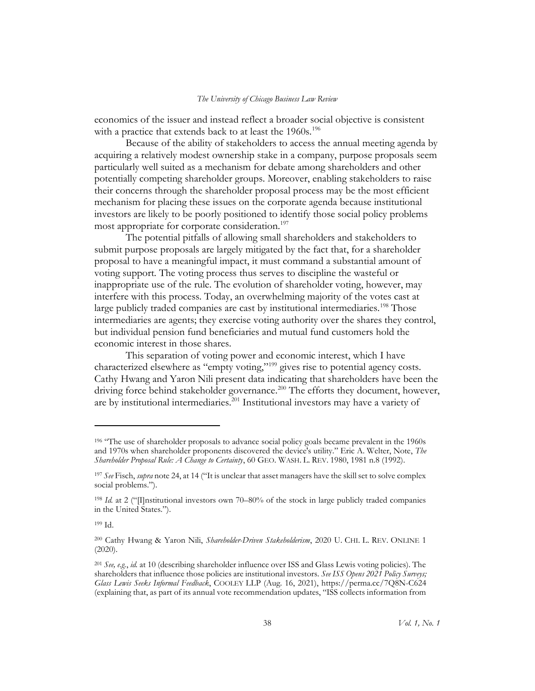economics of the issuer and instead reflect a broader social objective is consistent with a practice that extends back to at least the 1960s.<sup>196</sup>

Because of the ability of stakeholders to access the annual meeting agenda by acquiring a relatively modest ownership stake in a company, purpose proposals seem particularly well suited as a mechanism for debate among shareholders and other potentially competing shareholder groups. Moreover, enabling stakeholders to raise their concerns through the shareholder proposal process may be the most efficient mechanism for placing these issues on the corporate agenda because institutional investors are likely to be poorly positioned to identify those social policy problems most appropriate for corporate consideration.<sup>197</sup>

The potential pitfalls of allowing small shareholders and stakeholders to submit purpose proposals are largely mitigated by the fact that, for a shareholder proposal to have a meaningful impact, it must command a substantial amount of voting support. The voting process thus serves to discipline the wasteful or inappropriate use of the rule. The evolution of shareholder voting, however, may interfere with this process. Today, an overwhelming majority of the votes cast at large publicly traded companies are cast by institutional intermediaries.<sup>198</sup> Those intermediaries are agents; they exercise voting authority over the shares they control, but individual pension fund beneficiaries and mutual fund customers hold the economic interest in those shares.

This separation of voting power and economic interest, which I have characterized elsewhere as "empty voting,"<sup>199</sup> gives rise to potential agency costs. Cathy Hwang and Yaron Nili present data indicating that shareholders have been the driving force behind stakeholder governance.<sup>200</sup> The efforts they document, however, are by institutional intermediaries.<sup>201</sup> Institutional investors may have a variety of

<sup>&</sup>lt;sup>196</sup> "The use of shareholder proposals to advance social policy goals became prevalent in the 1960s and 1970s when shareholder proponents discovered the device's utility." Eric A. Welter, Note, The Shareholder Proposal Rule: A Change to Certainty, 60 GEO. WASH. L. REV. 1980, 1981 n.8 (1992).

<sup>&</sup>lt;sup>197</sup> See Fisch, supra note 24, at 14 ("It is unclear that asset managers have the skill set to solve complex social problems.").

<sup>&</sup>lt;sup>198</sup> Id. at 2 ("[I]nstitutional investors own 70–80% of the stock in large publicly traded companies in the United States.").

<sup>199</sup> Id.

<sup>&</sup>lt;sup>200</sup> Cathy Hwang & Yaron Nili, Shareholder-Driven Stakeholderism, 2020 U. CHI. L. REV. ONLINE 1 (2020).

 $^{201}$  See, e.g., id. at 10 (describing shareholder influence over ISS and Glass Lewis voting policies). The shareholders that influence those policies are institutional investors. See ISS Opens 2021 Policy Surveys; Glass Lewis Seeks Informal Feedback, COOLEY LLP (Aug. 16, 2021), https://perma.cc/7Q8N-C624 (explaining that, as part of its annual vote recommendation updates, "ISS collects information from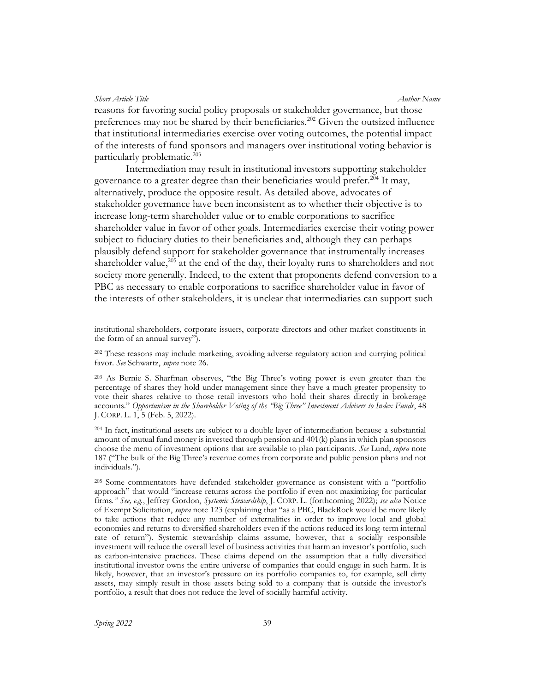reasons for favoring social policy proposals or stakeholder governance, but those preferences may not be shared by their beneficiaries.<sup>202</sup> Given the outsized influence that institutional intermediaries exercise over voting outcomes, the potential impact of the interests of fund sponsors and managers over institutional voting behavior is particularly problematic.<sup>203</sup>

Intermediation may result in institutional investors supporting stakeholder governance to a greater degree than their beneficiaries would prefer.<sup>204</sup> It may, alternatively, produce the opposite result. As detailed above, advocates of stakeholder governance have been inconsistent as to whether their objective is to increase long-term shareholder value or to enable corporations to sacrifice shareholder value in favor of other goals. Intermediaries exercise their voting power subject to fiduciary duties to their beneficiaries and, although they can perhaps plausibly defend support for stakeholder governance that instrumentally increases shareholder value, $205$  at the end of the day, their loyalty runs to shareholders and not society more generally. Indeed, to the extent that proponents defend conversion to a PBC as necessary to enable corporations to sacrifice shareholder value in favor of the interests of other stakeholders, it is unclear that intermediaries can support such

institutional shareholders, corporate issuers, corporate directors and other market constituents in the form of an annual survey").

<sup>&</sup>lt;sup>202</sup> These reasons may include marketing, avoiding adverse regulatory action and currying political favor. See Schwartz, supra note 26.

<sup>203</sup> As Bernie S. Sharfman observes, "the Big Three's voting power is even greater than the percentage of shares they hold under management since they have a much greater propensity to vote their shares relative to those retail investors who hold their shares directly in brokerage accounts." Opportunism in the Shareholder Voting of the "Big Three" Investment Advisers to Index Funds, 48 J. CORP. L. 1, 5 (Feb. 5, 2022).

<sup>204</sup> In fact, institutional assets are subject to a double layer of intermediation because a substantial amount of mutual fund money is invested through pension and 401(k) plans in which plan sponsors choose the menu of investment options that are available to plan participants. See Lund, *supra* note 187 ("The bulk of the Big Three's revenue comes from corporate and public pension plans and not individuals.").

<sup>205</sup> Some commentators have defended stakeholder governance as consistent with a "portfolio approach" that would "increase returns across the portfolio if even not maximizing for particular firms." See, e.g., Jeffrey Gordon, Systemic Stewardship, J. CORP. L. (forthcoming 2022); see also Notice of Exempt Solicitation, *supra* note 123 (explaining that "as a PBC, BlackRock would be more likely to take actions that reduce any number of externalities in order to improve local and global economies and returns to diversified shareholders even if the actions reduced its long-term internal rate of return"). Systemic stewardship claims assume, however, that a socially responsible investment will reduce the overall level of business activities that harm an investor's portfolio, such as carbon-intensive practices. These claims depend on the assumption that a fully diversified institutional investor owns the entire universe of companies that could engage in such harm. It is likely, however, that an investor's pressure on its portfolio companies to, for example, sell dirty assets, may simply result in those assets being sold to a company that is outside the investor's portfolio, a result that does not reduce the level of socially harmful activity.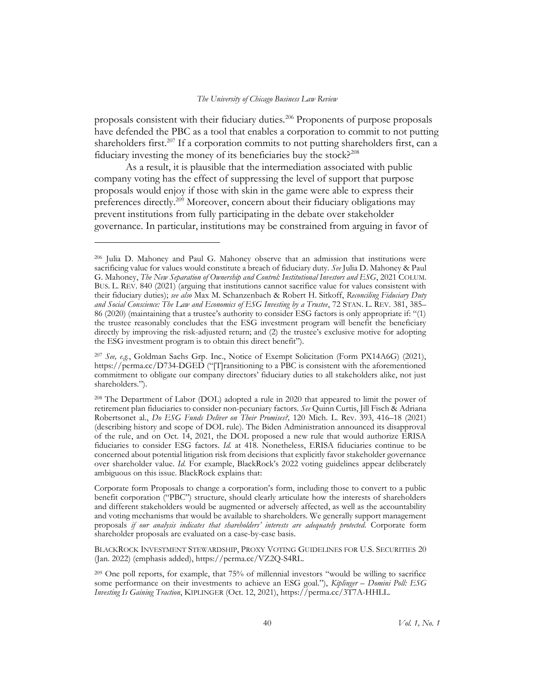proposals consistent with their fiduciary duties.<sup>206</sup> Proponents of purpose proposals have defended the PBC as a tool that enables a corporation to commit to not putting shareholders first.<sup>207</sup> If a corporation commits to not putting shareholders first, can a fiduciary investing the money of its beneficiaries buy the stock?<sup>208</sup>

As a result, it is plausible that the intermediation associated with public company voting has the effect of suppressing the level of support that purpose proposals would enjoy if those with skin in the game were able to express their preferences directly.<sup>209</sup> Moreover, concern about their fiduciary obligations may prevent institutions from fully participating in the debate over stakeholder governance. In particular, institutions may be constrained from arguing in favor of

BLACKROCK INVESTMENT STEWARDSHIP, PROXY VOTING GUIDELINES FOR U.S. SECURITIES 20 (Jan. 2022) (emphasis added), https://perma.cc/VZ2Q-S4RL.

<sup>209</sup> One poll reports, for example, that 75% of millennial investors "would be willing to sacrifice some performance on their investments to achieve an ESG goal."), *Kiplinger – Domini Poll: ESG* Investing Is Gaining Traction, KIPLINGER (Oct. 12, 2021), https://perma.cc/3T7A-HHLL.

<sup>206</sup> Julia D. Mahoney and Paul G. Mahoney observe that an admission that institutions were sacrificing value for values would constitute a breach of fiduciary duty. See Julia D. Mahoney & Paul G. Mahoney, The New Separation of Ownership and Control: Institutional Investors and ESG, 2021 COLUM. BUS. L. REV. 840 (2021) (arguing that institutions cannot sacrifice value for values consistent with their fiduciary duties); see also Max M. Schanzenbach & Robert H. Sitkoff, Reconciling Fiduciary Duty and Social Conscience: The Law and Economics of ESG Investing by a Trustee, 72 STAN. L. REV. 381, 385– 86 (2020) (maintaining that a trustee's authority to consider ESG factors is only appropriate if: "(1) the trustee reasonably concludes that the ESG investment program will benefit the beneficiary directly by improving the risk-adjusted return; and (2) the trustee's exclusive motive for adopting the ESG investment program is to obtain this direct benefit").

<sup>207</sup> See, e.g., Goldman Sachs Grp. Inc., Notice of Exempt Solicitation (Form PX14A6G) (2021), https://perma.cc/D734-DGED ("[T]ransitioning to a PBC is consistent with the aforementioned commitment to obligate our company directors' fiduciary duties to all stakeholders alike, not just shareholders.").

<sup>208</sup> The Department of Labor (DOL) adopted a rule in 2020 that appeared to limit the power of retirement plan fiduciaries to consider non-pecuniary factors. See Quinn Curtis, Jill Fisch & Adriana Robertsonet al., Do ESG Funds Deliver on Their Promises?, 120 Mich. L. Rev. 393, 416–18 (2021) (describing history and scope of DOL rule). The Biden Administration announced its disapproval of the rule, and on Oct. 14, 2021, the DOL proposed a new rule that would authorize ERISA fiduciaries to consider ESG factors. Id. at 418. Nonetheless, ERISA fiduciaries continue to be concerned about potential litigation risk from decisions that explicitly favor stakeholder governance over shareholder value. Id. For example, BlackRock's 2022 voting guidelines appear deliberately ambiguous on this issue. BlackRock explains that:

Corporate form Proposals to change a corporation's form, including those to convert to a public benefit corporation ("PBC") structure, should clearly articulate how the interests of shareholders and different stakeholders would be augmented or adversely affected, as well as the accountability and voting mechanisms that would be available to shareholders. We generally support management proposals if our analysis indicates that shareholders' interests are adequately protected. Corporate form shareholder proposals are evaluated on a case-by-case basis.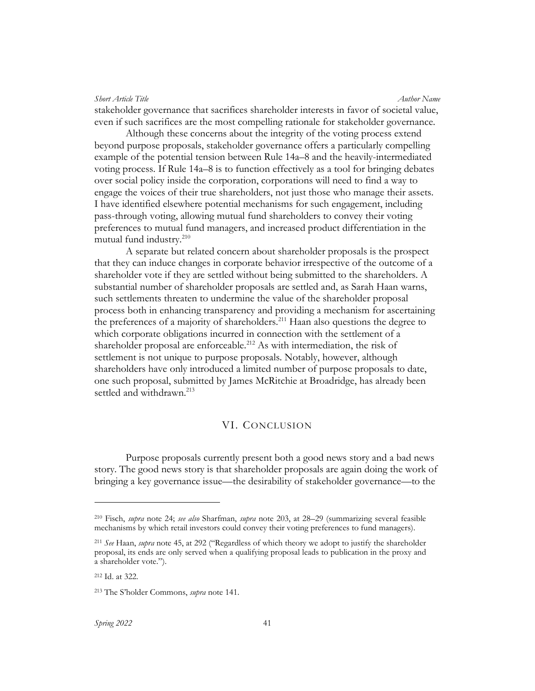Short Article Title Author Name (Author Name Author Name Author Name Author Name stakeholder governance that sacrifices shareholder interests in favor of societal value, even if such sacrifices are the most compelling rationale for stakeholder governance.

Although these concerns about the integrity of the voting process extend beyond purpose proposals, stakeholder governance offers a particularly compelling example of the potential tension between Rule 14a–8 and the heavily-intermediated voting process. If Rule 14a–8 is to function effectively as a tool for bringing debates over social policy inside the corporation, corporations will need to find a way to engage the voices of their true shareholders, not just those who manage their assets. I have identified elsewhere potential mechanisms for such engagement, including pass-through voting, allowing mutual fund shareholders to convey their voting preferences to mutual fund managers, and increased product differentiation in the mutual fund industry.<sup>210</sup>

A separate but related concern about shareholder proposals is the prospect that they can induce changes in corporate behavior irrespective of the outcome of a shareholder vote if they are settled without being submitted to the shareholders. A substantial number of shareholder proposals are settled and, as Sarah Haan warns, such settlements threaten to undermine the value of the shareholder proposal process both in enhancing transparency and providing a mechanism for ascertaining the preferences of a majority of shareholders.<sup>211</sup> Haan also questions the degree to which corporate obligations incurred in connection with the settlement of a shareholder proposal are enforceable.<sup>212</sup> As with intermediation, the risk of settlement is not unique to purpose proposals. Notably, however, although shareholders have only introduced a limited number of purpose proposals to date, one such proposal, submitted by James McRitchie at Broadridge, has already been settled and withdrawn.<sup>213</sup>

## VI. CONCLUSION

Purpose proposals currently present both a good news story and a bad news story. The good news story is that shareholder proposals are again doing the work of bringing a key governance issue—the desirability of stakeholder governance—to the

<sup>&</sup>lt;sup>210</sup> Fisch, *supra* note 24; see also Sharfman, supra note 203, at 28–29 (summarizing several feasible mechanisms by which retail investors could convey their voting preferences to fund managers).

 $^{211}$  See Haan, supra note 45, at 292 ("Regardless of which theory we adopt to justify the shareholder proposal, its ends are only served when a qualifying proposal leads to publication in the proxy and a shareholder vote.").

<sup>212</sup> Id. at 322.

<sup>213</sup> The S'holder Commons, supra note 141.